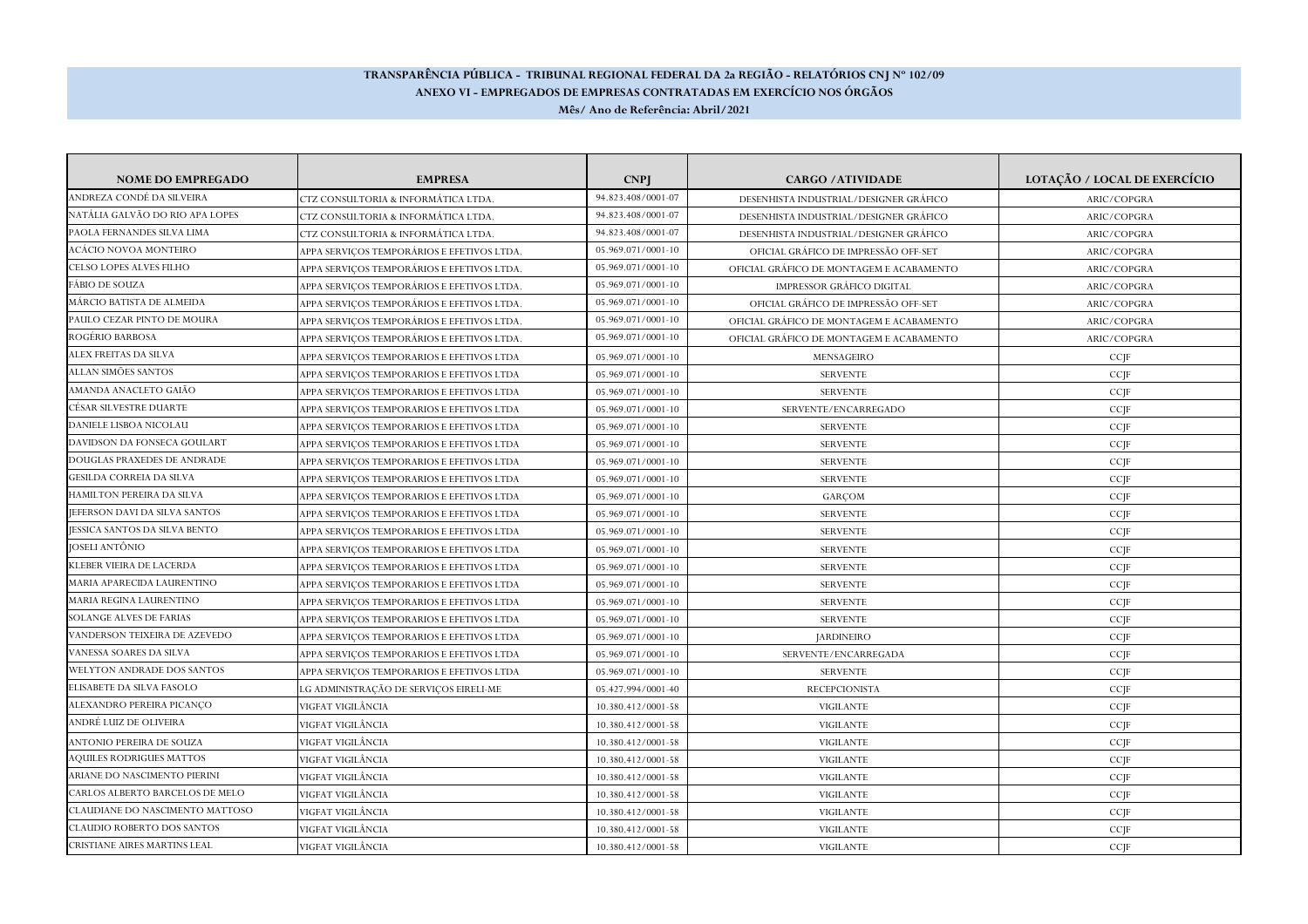## **TRANSPARÊNCIA PÚBLICA - TRIBUNAL REGIONAL FEDERAL DA 2a REGIÃO - RELATÓRIOS CNJ Nº 102/09 ANEXO VI - EMPREGADOS DE EMPRESAS CONTRATADAS EM EXERCÍCIO NOS ÓRGÃOSMês/ Ano de Referência: Abril/2021**

| <b>NOME DO EMPREGADO</b>            | <b>EMPRESA</b>                             | <b>CNPI</b>        | <b>CARGO /ATIVIDADE</b>                  | LOTAÇÃO / LOCAL DE EXERCÍCIO |
|-------------------------------------|--------------------------------------------|--------------------|------------------------------------------|------------------------------|
| ANDREZA CONDÉ DA SILVEIRA           | CTZ CONSULTORIA & INFORMÁTICA LTDA         | 94.823.408/0001-07 | DESENHISTA INDUSTRIAL/DESIGNER GRÁFICO   | ARIC/COPGRA                  |
| NATÁLIA GALVÃO DO RIO APA LOPES     | CTZ CONSULTORIA & INFORMÁTICA LTDA         | 94.823.408/0001-07 | DESENHISTA INDUSTRIAL/DESIGNER GRÁFICO   | ARIC/COPGRA                  |
| PAOLA FERNANDES SILVA LIMA          | CTZ CONSULTORIA & INFORMÁTICA LTDA         | 94.823.408/0001-07 | DESENHISTA INDUSTRIAL/DESIGNER GRÁFICO   | ARIC/COPGRA                  |
| ACÁCIO NOVOA MONTEIRO               | APPA SERVICOS TEMPORÁRIOS E EFETIVOS LTDA. | 05.969.071/0001-10 | OFICIAL GRÁFICO DE IMPRESSÃO OFF-SET     | ARIC/COPGRA                  |
| CELSO LOPES ALVES FILHO             | APPA SERVICOS TEMPORÁRIOS E EFETIVOS LTDA. | 05.969.071/0001-10 | OFICIAL GRÁFICO DE MONTAGEM E ACABAMENTO | ARIC/COPGRA                  |
| FÁBIO DE SOUZA                      | APPA SERVICOS TEMPORÁRIOS E EFETIVOS LTDA  | 05.969.071/0001-10 | <b>IMPRESSOR GRÁFICO DIGITAL</b>         | ARIC/COPGRA                  |
| MÁRCIO BATISTA DE ALMEIDA           | APPA SERVIÇOS TEMPORÁRIOS E EFETIVOS LTDA. | 05.969.071/0001-10 | OFICIAL GRÁFICO DE IMPRESSÃO OFF-SET     | ARIC/COPGRA                  |
| PAULO CEZAR PINTO DE MOURA          | APPA SERVICOS TEMPORÁRIOS E EFETIVOS LTDA. | 05.969.071/0001-10 | OFICIAL GRÁFICO DE MONTAGEM E ACABAMENTO | ARIC/COPGRA                  |
| ROGÉRIO BARBOSA                     | APPA SERVIÇOS TEMPORÁRIOS E EFETIVOS LTDA. | 05.969.071/0001-10 | OFICIAL GRÁFICO DE MONTAGEM E ACABAMENTO | ARIC/COPGRA                  |
| ALEX FREITAS DA SILVA               | APPA SERVIÇOS TEMPORARIOS E EFETIVOS LTDA  | 05.969.071/0001-10 | MENSAGEIRO                               | CCJF                         |
| ALLAN SIMÕES SANTOS                 | APPA SERVIÇOS TEMPORARIOS E EFETIVOS LTDA  | 05.969.071/0001-10 | <b>SERVENTE</b>                          | CCJF                         |
| AMANDA ANACLETO GAIÃO               | APPA SERVICOS TEMPORARIOS E EFETIVOS LTDA  | 05.969.071/0001-10 | <b>SERVENTE</b>                          | CCJF                         |
| CÉSAR SILVESTRE DUARTE              | APPA SERVIÇOS TEMPORARIOS E EFETIVOS LTDA  | 05.969.071/0001-10 | SERVENTE/ENCARREGADO                     | CCJF                         |
| DANIELE LISBOA NICOLAU              | APPA SERVIÇOS TEMPORARIOS E EFETIVOS LTDA  | 05.969.071/0001-10 | <b>SERVENTE</b>                          | CCJF                         |
| DAVIDSON DA FONSECA GOULART         | APPA SERVICOS TEMPORARIOS E EFETIVOS LTDA  | 05.969.071/0001-10 | <b>SERVENTE</b>                          | CCIF                         |
| DOUGLAS PRAXEDES DE ANDRADE         | APPA SERVIÇOS TEMPORARIOS E EFETIVOS LTDA  | 05.969.071/0001-10 | <b>SERVENTE</b>                          | CCJF                         |
| <b>GESILDA CORREIA DA SILVA</b>     | APPA SERVICOS TEMPORARIOS E EFETIVOS LTDA  | 05.969.071/0001-10 | <b>SERVENTE</b>                          | CCIF                         |
| HAMILTON PEREIRA DA SILVA           | APPA SERVICOS TEMPORARIOS E EFETIVOS LTDA  | 05.969.071/0001-10 | GARCOM                                   | CCJF                         |
| JEFERSON DAVI DA SILVA SANTOS       | APPA SERVICOS TEMPORARIOS E EFETIVOS LTDA  | 05.969.071/0001-10 | <b>SERVENTE</b>                          | CCJF                         |
| JESSICA SANTOS DA SILVA BENTO       | APPA SERVIÇOS TEMPORARIOS E EFETIVOS LTDA  | 05.969.071/0001-10 | <b>SERVENTE</b>                          | CCJF                         |
| JOSELI ANTÔNIO                      | APPA SERVICOS TEMPORARIOS E EFETIVOS LTDA  | 05.969.071/0001-10 | <b>SERVENTE</b>                          | CCJF                         |
| KLEBER VIEIRA DE LACERDA            | APPA SERVIÇOS TEMPORARIOS E EFETIVOS LTDA  | 05.969.071/0001-10 | <b>SERVENTE</b>                          | CCJF                         |
| MARIA APARECIDA LAURENTINO          | APPA SERVICOS TEMPORARIOS E EFETIVOS LTDA  | 05.969.071/0001-10 | <b>SERVENTE</b>                          | CCJF                         |
| MARIA REGINA LAURENTINO             | APPA SERVIÇOS TEMPORARIOS E EFETIVOS LTDA  | 05.969.071/0001-10 | <b>SERVENTE</b>                          | CCJF                         |
| <b>SOLANGE ALVES DE FARIAS</b>      | APPA SERVICOS TEMPORARIOS E EFETIVOS LTDA  | 05.969.071/0001-10 | <b>SERVENTE</b>                          | CCJF                         |
| VANDERSON TEIXEIRA DE AZEVEDO       | APPA SERVIÇOS TEMPORARIOS E EFETIVOS LTDA  | 05.969.071/0001-10 | <b>JARDINEIRO</b>                        | CCJF                         |
| VANESSA SOARES DA SILVA             | APPA SERVIÇOS TEMPORARIOS E EFETIVOS LTDA  | 05.969.071/0001-10 | SERVENTE/ENCARREGADA                     | CCJF                         |
| WELYTON ANDRADE DOS SANTOS          | APPA SERVIÇOS TEMPORARIOS E EFETIVOS LTDA  | 05.969.071/0001-10 | <b>SERVENTE</b>                          | CCJF                         |
| ELISABETE DA SILVA FASOLO           | LG ADMINISTRAÇÃO DE SERVIÇOS EIRELI-ME     | 05.427.994/0001-40 | <b>RECEPCIONISTA</b>                     | CCJF                         |
| ALEXANDRO PEREIRA PICANCO           | VIGFAT VIGILÂNCIA                          | 10.380.412/0001-58 | <b>VIGILANTE</b>                         | CCIF                         |
| ANDRÉ LUIZ DE OLIVEIRA              | VIGFAT VIGILÂNCIA                          | 10.380.412/0001-58 | <b>VIGILANTE</b>                         | CCJF                         |
| ANTONIO PEREIRA DE SOUZA            | VIGFAT VIGILÂNCIA                          | 10.380.412/0001-58 | <b>VIGILANTE</b>                         | CCIF                         |
| <b>AQUILES RODRIGUES MATTOS</b>     | VIGFAT VIGILÂNCIA                          | 10.380.412/0001-58 | <b>VIGILANTE</b>                         | CCJF                         |
| ARIANE DO NASCIMENTO PIERINI        | VIGFAT VIGILÂNCIA                          | 10.380.412/0001-58 | <b>VIGILANTE</b>                         | CCJF                         |
| CARLOS ALBERTO BARCELOS DE MELO     | VIGFAT VIGILÂNCIA                          | 10.380.412/0001-58 | <b>VIGILANTE</b>                         | CCJF                         |
| CLAUDIANE DO NASCIMENTO MATTOSO     | VIGFAT VIGILÂNCIA                          | 10.380.412/0001-58 | <b>VIGILANTE</b>                         | CCJF                         |
| <b>CLAUDIO ROBERTO DOS SANTOS</b>   | VIGFAT VIGILÂNCIA                          | 10.380.412/0001-58 | <b>VIGILANTE</b>                         | CCIF                         |
| <b>CRISTIANE AIRES MARTINS LEAL</b> | VIGFAT VIGILÂNCIA                          | 10.380.412/0001-58 | <b>VIGILANTE</b>                         | CCJF                         |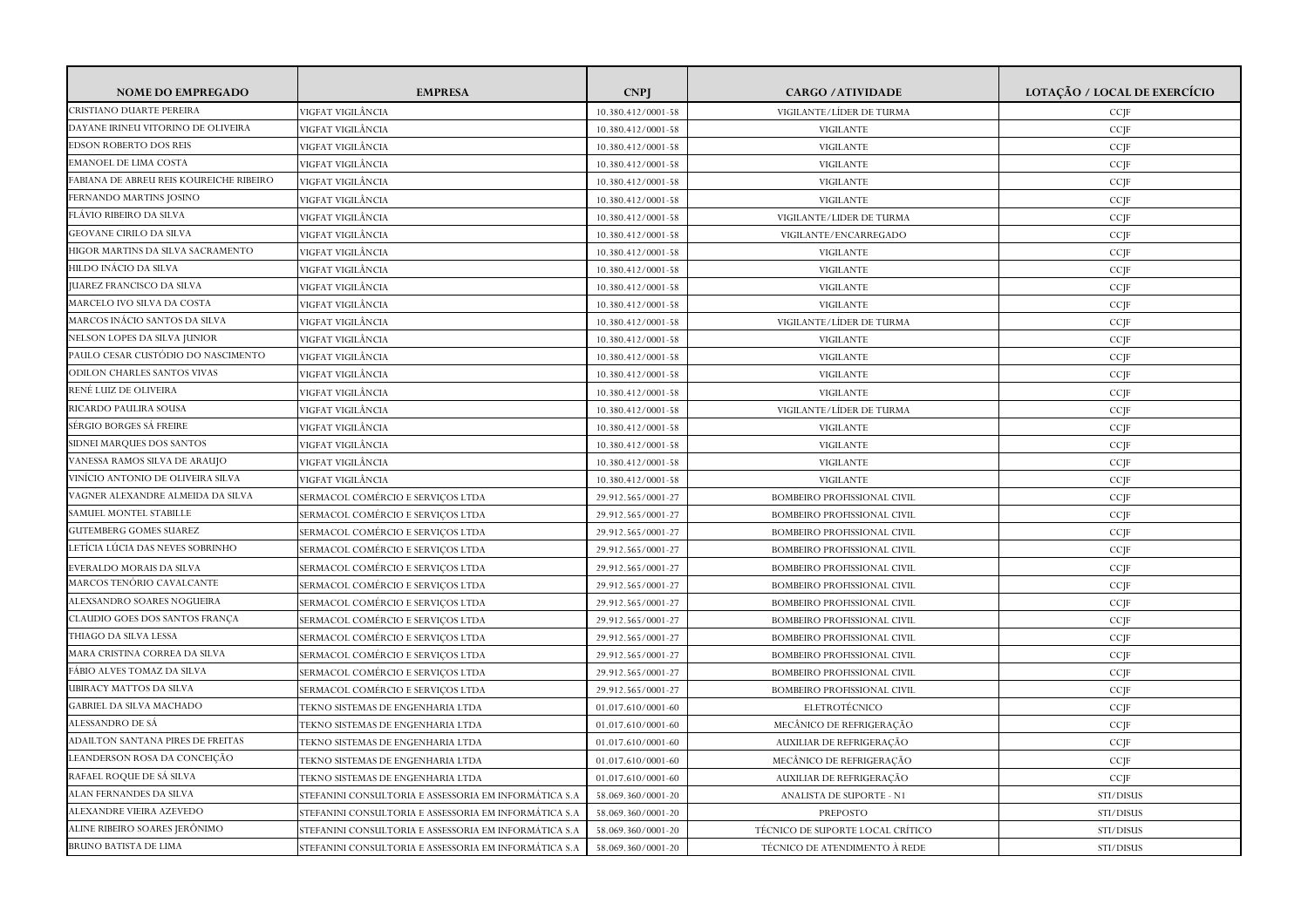| <b>NOME DO EMPREGADO</b>                | <b>EMPRESA</b>                                        | <b>CNPI</b>        | <b>CARGO / ATIVIDADE</b>           | LOTAÇÃO / LOCAL DE EXERCÍCIO |
|-----------------------------------------|-------------------------------------------------------|--------------------|------------------------------------|------------------------------|
| CRISTIANO DUARTE PEREIRA                | VIGFAT VIGILÂNCIA                                     | 10.380.412/0001-58 | VIGILANTE/LÍDER DE TURMA           | CCJF                         |
| DAYANE IRINEU VITORINO DE OLIVEIRA      | /IGFAT VIGILÂNCIA                                     | 10.380.412/0001-58 | <b>VIGILANTE</b>                   | CCJF                         |
| EDSON ROBERTO DOS REIS                  | VIGFAT VIGILÂNCIA                                     | 10.380.412/0001-58 | <b>VIGILANTE</b>                   | $CC$ <sup>[F]</sup>          |
| EMANOEL DE LIMA COSTA                   | VIGFAT VIGILÂNCIA                                     | 10.380.412/0001-58 | <b>VIGILANTE</b>                   | CCJF                         |
| FABIANA DE ABREU REIS KOUREICHE RIBEIRO | VIGFAT VIGILÂNCIA                                     | 10.380.412/0001-58 | <b>VIGILANTE</b>                   | CCJF                         |
| FERNANDO MARTINS JOSINO                 | VIGFAT VIGILÂNCIA                                     | 10.380.412/0001-58 | <b>VIGILANTE</b>                   | CCJF                         |
| FLÁVIO RIBEIRO DA SILVA                 | VIGFAT VIGILÂNCIA                                     | 10.380.412/0001-58 | VIGILANTE/LIDER DE TURMA           | CCJF                         |
| <b>GEOVANE CIRILO DA SILVA</b>          | VIGFAT VIGILÂNCIA                                     | 10.380.412/0001-58 | VIGILANTE/ENCARREGADO              | CCJF                         |
| HIGOR MARTINS DA SILVA SACRAMENTO       | VIGFAT VIGILÂNCIA                                     | 10.380.412/0001-58 | <b>VIGILANTE</b>                   | CCJF                         |
| HILDO INÁCIO DA SILVA                   | VIGFAT VIGILÂNCIA                                     | 10.380.412/0001-58 | <b>VIGILANTE</b>                   | CCJF                         |
| <b>JUAREZ FRANCISCO DA SILVA</b>        | VIGFAT VIGILÂNCIA                                     | 10.380.412/0001-58 | <b>VIGILANTE</b>                   | CCJF                         |
| MARCELO IVO SILVA DA COSTA              | VIGFAT VIGILÂNCIA                                     | 10.380.412/0001-58 | <b>VIGILANTE</b>                   | CCJF                         |
| MARCOS INÁCIO SANTOS DA SILVA           | VIGFAT VIGILÂNCIA                                     | 10.380.412/0001-58 | VIGILANTE/LÍDER DE TURMA           | CCJF                         |
| NELSON LOPES DA SILVA JUNIOR            | VIGFAT VIGILÂNCIA                                     | 10.380.412/0001-58 | <b>VIGILANTE</b>                   | CCJF                         |
| PAULO CESAR CUSTÓDIO DO NASCIMENTO      | VIGFAT VIGILÂNCIA                                     | 10.380.412/0001-58 | VIGILANTE                          | CCJF                         |
| ODILON CHARLES SANTOS VIVAS             | /IGFAT VIGILÂNCIA                                     | 10.380.412/0001-58 | <b>VIGILANTE</b>                   | CCJF                         |
| RENÉ LUIZ DE OLIVEIRA                   | VIGFAT VIGILÂNCIA                                     | 10.380.412/0001-58 | <b>VIGILANTE</b>                   | CCJF                         |
| RICARDO PAULIRA SOUSA                   | VIGFAT VIGILÂNCIA                                     | 10.380.412/0001-58 | VIGILANTE/LÍDER DE TURMA           | CCJF                         |
| SÉRGIO BORGES SÁ FREIRE                 | VIGFAT VIGILÂNCIA                                     | 10.380.412/0001-58 | <b>VIGILANTE</b>                   | CCJF                         |
| SIDNEI MARQUES DOS SANTOS               | VIGFAT VIGILÂNCIA                                     | 10.380.412/0001-58 | VIGILANTE                          | CCJF                         |
| VANESSA RAMOS SILVA DE ARAUJO           | VIGFAT VIGILÂNCIA                                     | 10.380.412/0001-58 | <b>VIGILANTE</b>                   | CCJF                         |
| VINÍCIO ANTONIO DE OLIVEIRA SILVA       | /IGFAT VIGILÂNCIA                                     | 10.380.412/0001-58 | <b>VIGILANTE</b>                   | CCJF                         |
| VAGNER ALEXANDRE ALMEIDA DA SILVA       | SERMACOL COMÉRCIO E SERVIÇOS LTDA                     | 29.912.565/0001-27 | <b>BOMBEIRO PROFISSIONAL CIVIL</b> | CCJF                         |
| SAMUEL MONTEL STABILLE                  | SERMACOL COMÉRCIO E SERVIÇOS LTDA                     | 29.912.565/0001-27 | <b>BOMBEIRO PROFISSIONAL CIVIL</b> | CCJF                         |
| <b>GUTEMBERG GOMES SUAREZ</b>           | SERMACOL COMÉRCIO E SERVIÇOS LTDA                     | 29.912.565/0001-27 | BOMBEIRO PROFISSIONAL CIVIL        | CCJF                         |
| LETÍCIA LÚCIA DAS NEVES SOBRINHO        | SERMACOL COMÉRCIO E SERVIÇOS LTDA                     | 29.912.565/0001-27 | <b>BOMBEIRO PROFISSIONAL CIVIL</b> | CCJF                         |
| EVERALDO MORAIS DA SILVA                | SERMACOL COMÉRCIO E SERVIÇOS LTDA                     | 29.912.565/0001-27 | <b>BOMBEIRO PROFISSIONAL CIVIL</b> | CCJF                         |
| MARCOS TENÓRIO CAVALCANTE               | SERMACOL COMÉRCIO E SERVIÇOS LTDA                     | 29.912.565/0001-27 | BOMBEIRO PROFISSIONAL CIVIL        | CCJF                         |
| ALEXSANDRO SOARES NOGUEIRA              | SERMACOL COMÉRCIO E SERVIÇOS LTDA                     | 29.912.565/0001-27 | <b>BOMBEIRO PROFISSIONAL CIVIL</b> | CCJF                         |
| CLAUDIO GOES DOS SANTOS FRANÇA          | SERMACOL COMÉRCIO E SERVIÇOS LTDA                     | 29.912.565/0001-27 | <b>BOMBEIRO PROFISSIONAL CIVIL</b> | CCJF                         |
| THIAGO DA SILVA LESSA                   | SERMACOL COMÉRCIO E SERVIÇOS LTDA                     | 29.912.565/0001-27 | BOMBEIRO PROFISSIONAL CIVIL        | $CC$ JF                      |
| MARA CRISTINA CORREA DA SILVA           | SERMACOL COMÉRCIO E SERVIÇOS LTDA                     | 29.912.565/0001-27 | <b>BOMBEIRO PROFISSIONAL CIVIL</b> | CCJF                         |
| FÁBIO ALVES TOMAZ DA SILVA              | SERMACOL COMÉRCIO E SERVIÇOS LTDA                     | 29.912.565/0001-27 | BOMBEIRO PROFISSIONAL CIVIL        | CCJF                         |
| UBIRACY MATTOS DA SILVA                 | SERMACOL COMÉRCIO E SERVIÇOS LTDA                     | 29.912.565/0001-27 | BOMBEIRO PROFISSIONAL CIVIL        | CCJF                         |
| GABRIEL DA SILVA MACHADO                | TEKNO SISTEMAS DE ENGENHARIA LTDA                     | 01.017.610/0001-60 | ELETROTÉCNICO                      | CCJF                         |
| ALESSANDRO DE SÁ                        | TEKNO SISTEMAS DE ENGENHARIA LTDA                     | 01.017.610/0001-60 | MECÂNICO DE REFRIGERAÇÃO           | $CC$ JF                      |
| ADAILTON SANTANA PIRES DE FREITAS       | TEKNO SISTEMAS DE ENGENHARIA LTDA                     | 01.017.610/0001-60 | AUXILIAR DE REFRIGERAÇÃO           | CCJF                         |
| LEANDERSON ROSA DA CONCEIÇÃO            | TEKNO SISTEMAS DE ENGENHARIA LTDA                     | 01.017.610/0001-60 | MECÂNICO DE REFRIGERAÇÃO           | CCJF                         |
| RAFAEL ROQUE DE SÁ SILVA                | TEKNO SISTEMAS DE ENGENHARIA LTDA                     | 01.017.610/0001-60 | AUXILIAR DE REFRIGERAÇÃO           | $CC$ JF                      |
| ALAN FERNANDES DA SILVA                 | STEFANINI CONSULTORIA E ASSESSORIA EM INFORMÁTICA S.A | 58.069.360/0001-20 | ANALISTA DE SUPORTE - N1           | STI/DISUS                    |
| ALEXANDRE VIEIRA AZEVEDO                | STEFANINI CONSULTORIA E ASSESSORIA EM INFORMÁTICA S.A | 58.069.360/0001-20 | PREPOSTO                           | STI/DISUS                    |
| ALINE RIBEIRO SOARES JERÔNIMO           | STEFANINI CONSULTORIA E ASSESSORIA EM INFORMÁTICA S.A | 58.069.360/0001-20 | TÉCNICO DE SUPORTE LOCAL CRÍTICO   | STI/DISUS                    |
| BRUNO BATISTA DE LIMA                   | STEFANINI CONSULTORIA E ASSESSORIA EM INFORMÁTICA S.A | 58.069.360/0001-20 | TÉCNICO DE ATENDIMENTO À REDE      | STI/DISUS                    |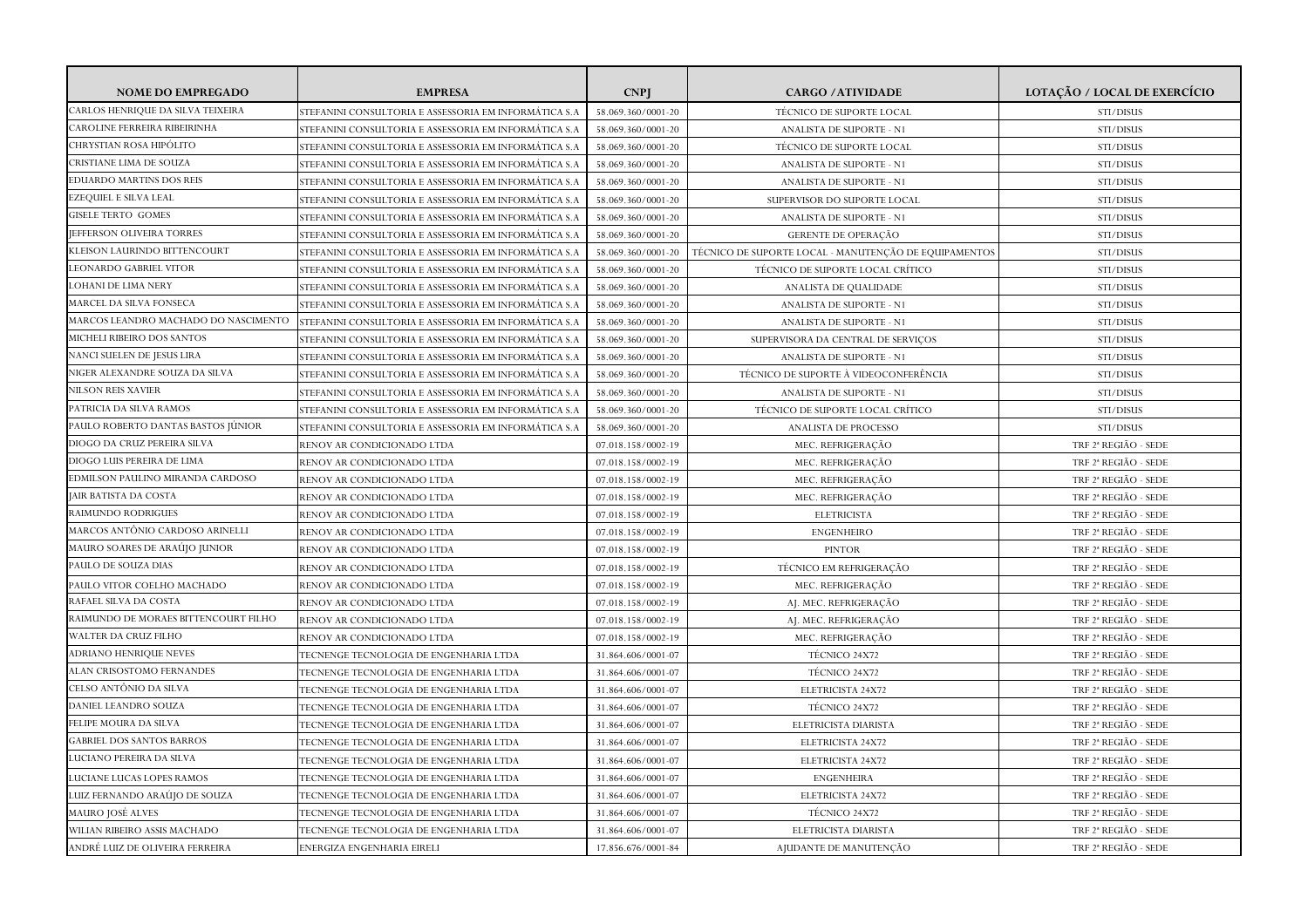| <b>NOME DO EMPREGADO</b>             | <b>EMPRESA</b>                                        | <b>CNP</b>         | <b>CARGO / ATIVIDADE</b>                              | LOTAÇÃO / LOCAL DE EXERCÍCIO     |
|--------------------------------------|-------------------------------------------------------|--------------------|-------------------------------------------------------|----------------------------------|
| CARLOS HENRIQUE DA SILVA TEIXEIRA    | STEFANINI CONSULTORIA E ASSESSORIA EM INFORMÁTICA S.A | 58.069.360/0001-20 | TÉCNICO DE SUPORTE LOCAL                              | STI/DISUS                        |
| CAROLINE FERREIRA RIBEIRINHA         | STEFANINI CONSULTORIA E ASSESSORIA EM INFORMÁTICA S.A | 58.069.360/0001-20 | ANALISTA DE SUPORTE - N1                              | STI/DISUS                        |
| CHRYSTIAN ROSA HIPÓLITO              | STEFANINI CONSULTORIA E ASSESSORIA EM INFORMÁTICA S.A | 58.069.360/0001-20 | TÉCNICO DE SUPORTE LOCAL                              | STI/DISUS                        |
| CRISTIANE LIMA DE SOUZA              | STEFANINI CONSULTORIA E ASSESSORIA EM INFORMÁTICA S.A | 58.069.360/0001-20 | ANALISTA DE SUPORTE - N1                              | STI/DISUS                        |
| <b>EDUARDO MARTINS DOS REIS</b>      | STEFANINI CONSULTORIA E ASSESSORIA EM INFORMÁTICA S.A | 58.069.360/0001-20 | ANALISTA DE SUPORTE - N1                              | STI/DISUS                        |
| <b>EZEQUIEL E SILVA LEAL</b>         | STEFANINI CONSULTORIA E ASSESSORIA EM INFORMÁTICA S.A | 58.069.360/0001-20 | SUPERVISOR DO SUPORTE LOCAL                           | STI/DISUS                        |
| GISELE TERTO GOMES                   | STEFANINI CONSULTORIA E ASSESSORIA EM INFORMÁTICA S.A | 58.069.360/0001-20 | ANALISTA DE SUPORTE - N1                              | STI/DISUS                        |
| <b>JEFFERSON OLIVEIRA TORRES</b>     | STEFANINI CONSULTORIA E ASSESSORIA EM INFORMÁTICA S.A | 58.069.360/0001-20 | GERENTE DE OPERAÇÃO                                   | STI/DISUS                        |
| KLEISON LAURINDO BITTENCOURT         | STEFANINI CONSULTORIA E ASSESSORIA EM INFORMÁTICA S.A | 58.069.360/0001-20 | TÉCNICO DE SUPORTE LOCAL - MANUTENÇÃO DE EQUIPAMENTOS | STI/DISUS                        |
| LEONARDO GABRIEL VITOR               | STEFANINI CONSULTORIA E ASSESSORIA EM INFORMÁTICA S.A | 58.069.360/0001-20 | TÉCNICO DE SUPORTE LOCAL CRÍTICO                      | STI/DISUS                        |
| <b>LOHANI DE LIMA NERY</b>           | STEFANINI CONSULTORIA E ASSESSORIA EM INFORMÁTICA S.A | 58.069.360/0001-20 | ANALISTA DE QUALIDADE                                 | STI/DISUS                        |
| MARCEL DA SILVA FONSECA              | STEFANINI CONSULTORIA E ASSESSORIA EM INFORMÁTICA S.A | 58.069.360/0001-20 | ANALISTA DE SUPORTE - N1                              | STI/DISUS                        |
| MARCOS LEANDRO MACHADO DO NASCIMENTO | STEFANINI CONSULTORIA E ASSESSORIA EM INFORMÁTICA S.A | 58.069.360/0001-20 | ANALISTA DE SUPORTE - N1                              | STI/DISUS                        |
| MICHELI RIBEIRO DOS SANTOS           | STEFANINI CONSULTORIA E ASSESSORIA EM INFORMÁTICA S.A | 58.069.360/0001-20 | SUPERVISORA DA CENTRAL DE SERVIÇOS                    | STI/DISUS                        |
| NANCI SUELEN DE JESUS LIRA           | STEFANINI CONSULTORIA E ASSESSORIA EM INFORMÁTICA S.A | 58.069.360/0001-20 | <b>ANALISTA DE SUPORTE - N1</b>                       | STI/DISUS                        |
| NIGER ALEXANDRE SOUZA DA SILVA       | STEFANINI CONSULTORIA E ASSESSORIA EM INFORMÁTICA S.A | 58.069.360/0001-20 | TÉCNICO DE SUPORTE À VIDEOCONFERÊNCIA                 | STI/DISUS                        |
| <b>NILSON REIS XAVIER</b>            | STEFANINI CONSULTORIA E ASSESSORIA EM INFORMÁTICA S.A | 58.069.360/0001-20 | ANALISTA DE SUPORTE - N1                              | STI/DISUS                        |
| PATRICIA DA SILVA RAMOS              | STEFANINI CONSULTORIA E ASSESSORIA EM INFORMÁTICA S.A | 58.069.360/0001-20 | TÉCNICO DE SUPORTE LOCAL CRÍTICO                      | STI/DISUS                        |
| PAULO ROBERTO DANTAS BASTOS JÚNIOR   | STEFANINI CONSULTORIA E ASSESSORIA EM INFORMÁTICA S.A | 58.069.360/0001-20 | <b>ANALISTA DE PROCESSO</b>                           | STI/DISUS                        |
| DIOGO DA CRUZ PEREIRA SILVA          | RENOV AR CONDICIONADO LTDA                            | 07.018.158/0002-19 | MEC. REFRIGERAÇÃO                                     | TRF 2 <sup>ª</sup> REGIÃO - SEDE |
| DIOGO LUIS PEREIRA DE LIMA           | RENOV AR CONDICIONADO LTDA                            | 07.018.158/0002-19 | MEC. REFRIGERAÇÃO                                     | TRF 2ª REGIÃO - SEDE             |
| EDMILSON PAULINO MIRANDA CARDOSO     | RENOV AR CONDICIONADO LTDA                            | 07.018.158/0002-19 | MEC. REFRIGERAÇÃO                                     | TRF 2ª REGIÃO - SEDE             |
| <b>JAIR BATISTA DA COSTA</b>         | RENOV AR CONDICIONADO LTDA                            | 07.018.158/0002-19 | MEC. REFRIGERAÇÃO                                     | TRF 2 <sup>ª</sup> REGIÃO - SEDE |
| RAIMUNDO RODRIGUES                   | RENOV AR CONDICIONADO LTDA                            | 07.018.158/0002-19 | <b>ELETRICISTA</b>                                    | TRF 2ª REGIÃO - SEDE             |
| MARCOS ANTÔNIO CARDOSO ARINELLI      | RENOV AR CONDICIONADO LTDA                            | 07.018.158/0002-19 | <b>ENGENHEIRO</b>                                     | TRF 2 <sup>ª</sup> REGIÃO - SEDE |
| MAURO SOARES DE ARAÚJO JUNIOR        | RENOV AR CONDICIONADO LTDA                            | 07.018.158/0002-19 | <b>PINTOR</b>                                         | TRF 2 <sup>ª</sup> REGIÃO - SEDE |
| PAULO DE SOUZA DIAS                  | RENOV AR CONDICIONADO LTDA                            | 07.018.158/0002-19 | TÉCNICO EM REFRIGERAÇÃO                               | TRF 2ª REGIÃO - SEDE             |
| PAULO VITOR COELHO MACHADO           | RENOV AR CONDICIONADO LTDA                            | 07.018.158/0002-19 | MEC. REFRIGERAÇÃO                                     | TRF 2 <sup>ª</sup> REGIÃO - SEDE |
| RAFAEL SILVA DA COSTA                | RENOV AR CONDICIONADO LTDA                            | 07.018.158/0002-19 | AJ. MEC. REFRIGERAÇÃO                                 | TRF 2 <sup>ª</sup> REGIÃO - SEDE |
| RAIMUNDO DE MORAES BITTENCOURT FILHO | RENOV AR CONDICIONADO LTDA                            | 07.018.158/0002-19 | AJ. MEC. REFRIGERAÇÃO                                 | TRF 2 <sup>ª</sup> REGIÃO - SEDE |
| WALTER DA CRUZ FILHO                 | RENOV AR CONDICIONADO LTDA                            | 07.018.158/0002-19 | MEC. REFRIGERAÇÃO                                     | TRF 2ª REGIÃO - SEDE             |
| ADRIANO HENRIQUE NEVES               | TECNENGE TECNOLOGIA DE ENGENHARIA LTDA                | 31.864.606/0001-07 | TÉCNICO 24X72                                         | TRF 2 <sup>ª</sup> REGIÃO - SEDE |
| ALAN CRISOSTOMO FERNANDES            | TECNENGE TECNOLOGIA DE ENGENHARIA LTDA                | 31.864.606/0001-07 | TÉCNICO 24X72                                         | TRF 2 <sup>ª</sup> REGIÃO - SEDE |
| CELSO ANTÔNIO DA SILVA               | TECNENGE TECNOLOGIA DE ENGENHARIA LTDA                | 31.864.606/0001-07 | <b>ELETRICISTA 24X72</b>                              | TRF 2ª REGIÃO - SEDE             |
| DANIEL LEANDRO SOUZA                 | TECNENGE TECNOLOGIA DE ENGENHARIA LTDA                | 31.864.606/0001-07 | TÉCNICO 24X72                                         | TRF 2ª REGIÃO - SEDE             |
| FELIPE MOURA DA SILVA                | TECNENGE TECNOLOGIA DE ENGENHARIA LTDA                | 31.864.606/0001-07 | ELETRICISTA DIARISTA                                  | TRF 2ª REGIÃO - SEDE             |
| <b>GABRIEL DOS SANTOS BARROS</b>     | TECNENGE TECNOLOGIA DE ENGENHARIA LTDA                | 31.864.606/0001-07 | ELETRICISTA 24X72                                     | TRF 2ª REGIÃO - SEDE             |
| LUCIANO PEREIRA DA SILVA             | TECNENGE TECNOLOGIA DE ENGENHARIA LTDA                | 31.864.606/0001-07 | ELETRICISTA 24X72                                     | TRF 2 <sup>ª</sup> REGIÃO - SEDE |
| LUCIANE LUCAS LOPES RAMOS            | TECNENGE TECNOLOGIA DE ENGENHARIA LTDA                | 31.864.606/0001-07 | <b>ENGENHEIRA</b>                                     | TRF 2 <sup>ª</sup> REGIÃO - SEDE |
| LUIZ FERNANDO ARAÚJO DE SOUZA        | TECNENGE TECNOLOGIA DE ENGENHARIA LTDA                | 31.864.606/0001-07 | ELETRICISTA 24X72                                     | TRF 2 <sup>ª</sup> REGIÃO - SEDE |
| <b>MAURO JOSÉ ALVES</b>              | TECNENGE TECNOLOGIA DE ENGENHARIA LTDA                | 31.864.606/0001-07 | TÉCNICO 24X72                                         | TRF 2ª REGIÃO - SEDE             |
| WILIAN RIBEIRO ASSIS MACHADO         | TECNENGE TECNOLOGIA DE ENGENHARIA LTDA                | 31.864.606/0001-07 | ELETRICISTA DIARISTA                                  | TRF 2ª REGIÃO - SEDE             |
| ANDRÉ LUIZ DE OLIVEIRA FERREIRA      | ENERGIZA ENGENHARIA EIRELI                            | 17.856.676/0001-84 | AJUDANTE DE MANUTENÇÃO                                | TRF 2 <sup>ª</sup> REGIÃO - SEDE |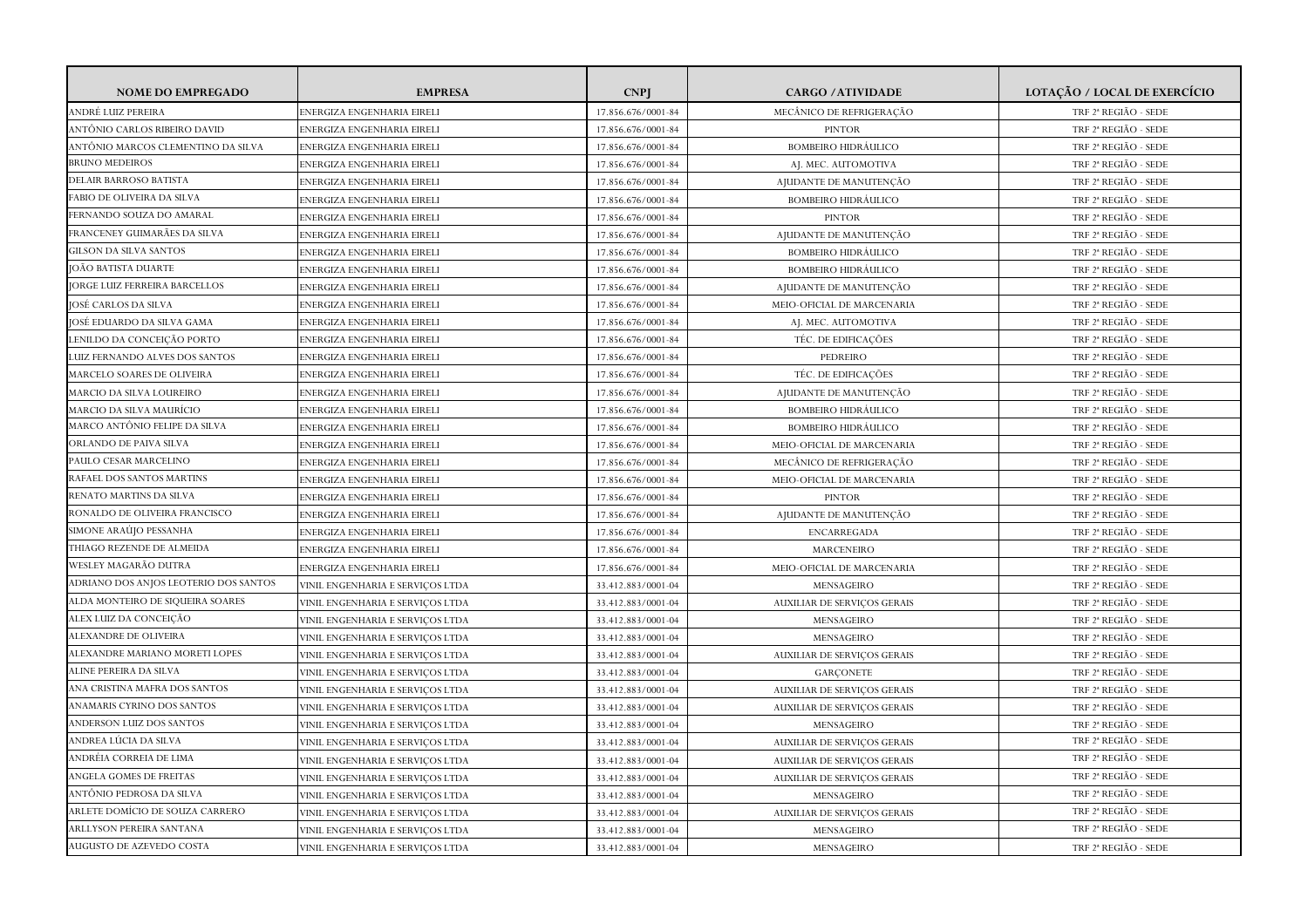| <b>NOME DO EMPREGADO</b>                                  | <b>EMPRESA</b>                                           | <b>CNP</b>         | <b>CARGO / ATIVIDADE</b>                                 | LOTAÇÃO / LOCAL DE EXERCÍCIO                 |
|-----------------------------------------------------------|----------------------------------------------------------|--------------------|----------------------------------------------------------|----------------------------------------------|
| ANDRÉ LUIZ PEREIRA                                        | ENERGIZA ENGENHARIA EIRELI                               | 17.856.676/0001-84 | MECÂNICO DE REFRIGERAÇÃO                                 | TRF 2 <sup>ª</sup> REGIÃO - SEDE             |
| ANTÔNIO CARLOS RIBEIRO DAVID                              | ENERGIZA ENGENHARIA EIRELI                               | 17.856.676/0001-84 | <b>PINTOR</b>                                            | TRF 2 <sup>ª</sup> REGIÃO - SEDE             |
| ANTÔNIO MARCOS CLEMENTINO DA SILVA                        | ENERGIZA ENGENHARIA EIRELI                               | 17.856.676/0001-84 | <b>BOMBEIRO HIDRÁULICO</b>                               | TRF 2 <sup>ª</sup> REGIÃO - SEDE             |
| <b>BRUNO MEDEIROS</b>                                     | ENERGIZA ENGENHARIA EIRELI                               | 17.856.676/0001-84 | AJ. MEC. AUTOMOTIVA                                      | TRF 2ª REGIÃO - SEDE                         |
| DELAIR BARROSO BATISTA                                    | ENERGIZA ENGENHARIA EIRELI                               | 17.856.676/0001-84 | AJUDANTE DE MANUTENÇÃO                                   | TRF 2 <sup>ª</sup> REGIÃO - SEDE             |
| FABIO DE OLIVEIRA DA SILVA                                | ENERGIZA ENGENHARIA EIRELI                               | 17.856.676/0001-84 | <b>BOMBEIRO HIDRÁULICO</b>                               | TRF 2ª REGIÃO - SEDE                         |
| FERNANDO SOUZA DO AMARAL                                  | ENERGIZA ENGENHARIA EIRELI                               | 17.856.676/0001-84 | <b>PINTOR</b>                                            | TRF 2 <sup>ª</sup> REGIÃO - SEDE             |
| FRANCENEY GUIMARÃES DA SILVA                              | ENERGIZA ENGENHARIA EIRELI                               | 17.856.676/0001-84 | AJUDANTE DE MANUTENÇÃO                                   | TRF 2ª REGIÃO - SEDE                         |
| GILSON DA SILVA SANTOS                                    | ENERGIZA ENGENHARIA EIRELI                               | 17.856.676/0001-84 | <b>BOMBEIRO HIDRÁULICO</b>                               | TRF 2ª REGIÃO - SEDE                         |
| IOÃO BATISTA DUARTE                                       | ENERGIZA ENGENHARIA EIRELI                               | 17.856.676/0001-84 | <b>BOMBEIRO HIDRAULICO</b>                               | TRF 2 <sup>ª</sup> REGIÃO - SEDE             |
| <b>JORGE LUIZ FERREIRA BARCELLOS</b>                      | ENERGIZA ENGENHARIA EIRELI                               | 17.856.676/0001-84 | AJUDANTE DE MANUTENÇÃO                                   | TRF 2 <sup>ª</sup> REGIÃO - SEDE             |
| JOSÉ CARLOS DA SILVA                                      | ENERGIZA ENGENHARIA EIRELI                               | 17.856.676/0001-84 | MEIO-OFICIAL DE MARCENARIA                               | TRF 2ª REGIÃO - SEDE                         |
| JOSÉ EDUARDO DA SILVA GAMA                                | ENERGIZA ENGENHARIA EIRELI                               | 17.856.676/0001-84 | AJ. MEC. AUTOMOTIVA                                      | TRF 2 <sup>ª</sup> REGIÃO - SEDE             |
| LENILDO DA CONCEIÇÃO PORTO                                | ENERGIZA ENGENHARIA EIRELI                               | 17.856.676/0001-84 | TÉC. DE EDIFICAÇÕES                                      | TRF 2 <sup>ª</sup> REGIÃO - SEDE             |
|                                                           |                                                          |                    |                                                          |                                              |
| LUIZ FERNANDO ALVES DOS SANTOS                            | ENERGIZA ENGENHARIA EIRELI                               | 17.856.676/0001-84 | PEDREIRO<br>TÉC. DE EDIFICAÇÕES                          | TRF 2 <sup>ª</sup> REGIÃO - SEDE             |
| MARCELO SOARES DE OLIVEIRA                                | ENERGIZA ENGENHARIA EIRELI<br>ENERGIZA ENGENHARIA EIRELI | 17.856.676/0001-84 |                                                          | TRF 2 <sup>ª</sup> REGIÃO - SEDE             |
| MARCIO DA SILVA LOUREIRO                                  |                                                          | 17.856.676/0001-84 | AJUDANTE DE MANUTENÇÃO                                   | TRF 2 <sup>ª</sup> REGIÃO - SEDE             |
| MARCIO DA SILVA MAURÍCIO<br>MARCO ANTÔNIO FELIPE DA SILVA | ENERGIZA ENGENHARIA EIRELI                               | 17.856.676/0001-84 | <b>BOMBEIRO HIDRÁULICO</b><br><b>BOMBEIRO HIDRÁULICO</b> | TRF 2ª REGIÃO - SEDE<br>TRF 2ª REGIÃO - SEDE |
| ORLANDO DE PAIVA SILVA                                    | ENERGIZA ENGENHARIA EIRELI                               | 17.856.676/0001-84 |                                                          |                                              |
| PAULO CESAR MARCELINO                                     | ENERGIZA ENGENHARIA EIRELI                               | 17.856.676/0001-84 | MEIO-OFICIAL DE MARCENARIA                               | TRF 2 <sup>ª</sup> REGIÃO - SEDE             |
| RAFAEL DOS SANTOS MARTINS                                 | ENERGIZA ENGENHARIA EIRELI                               | 17.856.676/0001-84 | MECÂNICO DE REFRIGERAÇÃO                                 | TRF 2ª REGIÃO - SEDE                         |
| RENATO MARTINS DA SILVA                                   | ENERGIZA ENGENHARIA EIRELI                               | 17.856.676/0001-84 | MEIO-OFICIAL DE MARCENARIA                               | TRF 2 <sup>ª</sup> REGIÃO - SEDE             |
| RONALDO DE OLIVEIRA FRANCISCO                             | ENERGIZA ENGENHARIA EIRELI                               | 17.856.676/0001-84 | <b>PINTOR</b>                                            | TRF 2 <sup>ª</sup> REGIÃO - SEDE             |
| SIMONE ARAÚJO PESSANHA                                    | ENERGIZA ENGENHARIA EIRELI                               | 17.856.676/0001-84 | AJUDANTE DE MANUTENÇÃO                                   | TRF 2ª REGIÃO - SEDE                         |
| THIAGO REZENDE DE ALMEIDA                                 | ENERGIZA ENGENHARIA EIRELI                               | 17.856.676/0001-84 | <b>ENCARREGADA</b>                                       | TRF 2 <sup>ª</sup> REGIÃO - SEDE             |
| WESLEY MAGARÃO DUTRA                                      | ENERGIZA ENGENHARIA EIRELI                               | 17.856.676/0001-84 | MARCENEIRO                                               | TRF 2 <sup>ª</sup> REGIÃO - SEDE             |
|                                                           | ENERGIZA ENGENHARIA EIRELI                               | 17.856.676/0001-84 | MEIO-OFICIAL DE MARCENARIA                               | TRF 2ª REGIÃO - SEDE                         |
| ADRIANO DOS ANJOS LEOTERIO DOS SANTOS                     | VINIL ENGENHARIA E SERVIÇOS LTDA                         | 33.412.883/0001-04 | MENSAGEIRO                                               | TRF 2 <sup>ª</sup> REGIÃO - SEDE             |
| ALDA MONTEIRO DE SIQUEIRA SOARES                          | VINIL ENGENHARIA E SERVICOS LTDA                         | 33.412.883/0001-04 | AUXILIAR DE SERVIÇOS GERAIS                              | TRF 2 <sup>ª</sup> REGIÃO - SEDE             |
| ALEX LUIZ DA CONCEIÇÃO                                    | VINIL ENGENHARIA E SERVICOS LTDA                         | 33.412.883/0001-04 | MENSAGEIRO                                               | TRF 2 <sup>ª</sup> REGIÃO - SEDE             |
| ALEXANDRE DE OLIVEIRA                                     | VINIL ENGENHARIA E SERVIÇOS LTDA                         | 33.412.883/0001-04 | MENSAGEIRO                                               | TRF 2ª REGIÃO - SEDE                         |
| ALEXANDRE MARIANO MORETI LOPES                            | VINIL ENGENHARIA E SERVICOS LTDA                         | 33.412.883/0001-04 | <b>AUXILIAR DE SERVIÇOS GERAIS</b>                       | TRF 2 <sup>ª</sup> REGIÃO - SEDE             |
| ALINE PEREIRA DA SILVA                                    | VINIL ENGENHARIA E SERVIÇOS LTDA                         | 33.412.883/0001-04 | <b>GARCONETE</b>                                         | TRF 2 <sup>ª</sup> REGIÃO - SEDE             |
| ANA CRISTINA MAFRA DOS SANTOS                             | VINIL ENGENHARIA E SERVIÇOS LTDA                         | 33.412.883/0001-04 | <b>AUXILIAR DE SERVIÇOS GERAIS</b>                       | TRF 2 <sup>ª</sup> REGIÃO - SEDE             |
| ANAMARIS CYRINO DOS SANTOS                                | VINIL ENGENHARIA E SERVICOS LTDA                         | 33.412.883/0001-04 | <b>AUXILIAR DE SERVIÇOS GERAIS</b>                       | TRF 2ª REGIÃO - SEDE                         |
| ANDERSON LUIZ DOS SANTOS                                  | VINIL ENGENHARIA E SERVIÇOS LTDA                         | 33.412.883/0001-04 | MENSAGEIRO                                               | TRF 2 <sup>ª</sup> REGIÃO - SEDE             |
| ANDREA LÚCIA DA SILVA                                     | VINIL ENGENHARIA E SERVIÇOS LTDA                         | 33.412.883/0001-04 | <b>AUXILIAR DE SERVIÇOS GERAIS</b>                       | TRF 2ª REGIÃO - SEDE                         |
| ANDRÉIA CORREIA DE LIMA                                   | VINIL ENGENHARIA E SERVICOS LTDA                         | 33.412.883/0001-04 | <b>AUXILIAR DE SERVICOS GERAIS</b>                       | TRF 2 <sup>ª</sup> REGIÃO - SEDE             |
| ANGELA GOMES DE FREITAS                                   | VINIL ENGENHARIA E SERVIÇOS LTDA                         | 33.412.883/0001-04 | <b>AUXILIAR DE SERVIÇOS GERAIS</b>                       | TRF 2 <sup>ª</sup> REGIÃO - SEDE             |
| ANTÔNIO PEDROSA DA SILVA                                  | VINIL ENGENHARIA E SERVIÇOS LTDA                         | 33.412.883/0001-04 | MENSAGEIRO                                               | TRF 2ª REGIÃO - SEDE                         |
| ARLETE DOMÍCIO DE SOUZA CARRERO                           | VINIL ENGENHARIA E SERVICOS LTDA                         | 33.412.883/0001-04 | <b>AUXILIAR DE SERVIÇOS GERAIS</b>                       | TRF 2 <sup>ª</sup> REGIÃO - SEDE             |
| ARLLYSON PEREIRA SANTANA                                  | VINIL ENGENHARIA E SERVICOS LTDA                         | 33.412.883/0001-04 | MENSAGEIRO                                               | TRF 2 <sup>ª</sup> REGIÃO - SEDE             |
| AUGUSTO DE AZEVEDO COSTA                                  | VINIL ENGENHARIA E SERVIÇOS LTDA                         | 33.412.883/0001-04 | MENSAGEIRO                                               | TRF 2 <sup>ª</sup> REGIÃO - SEDE             |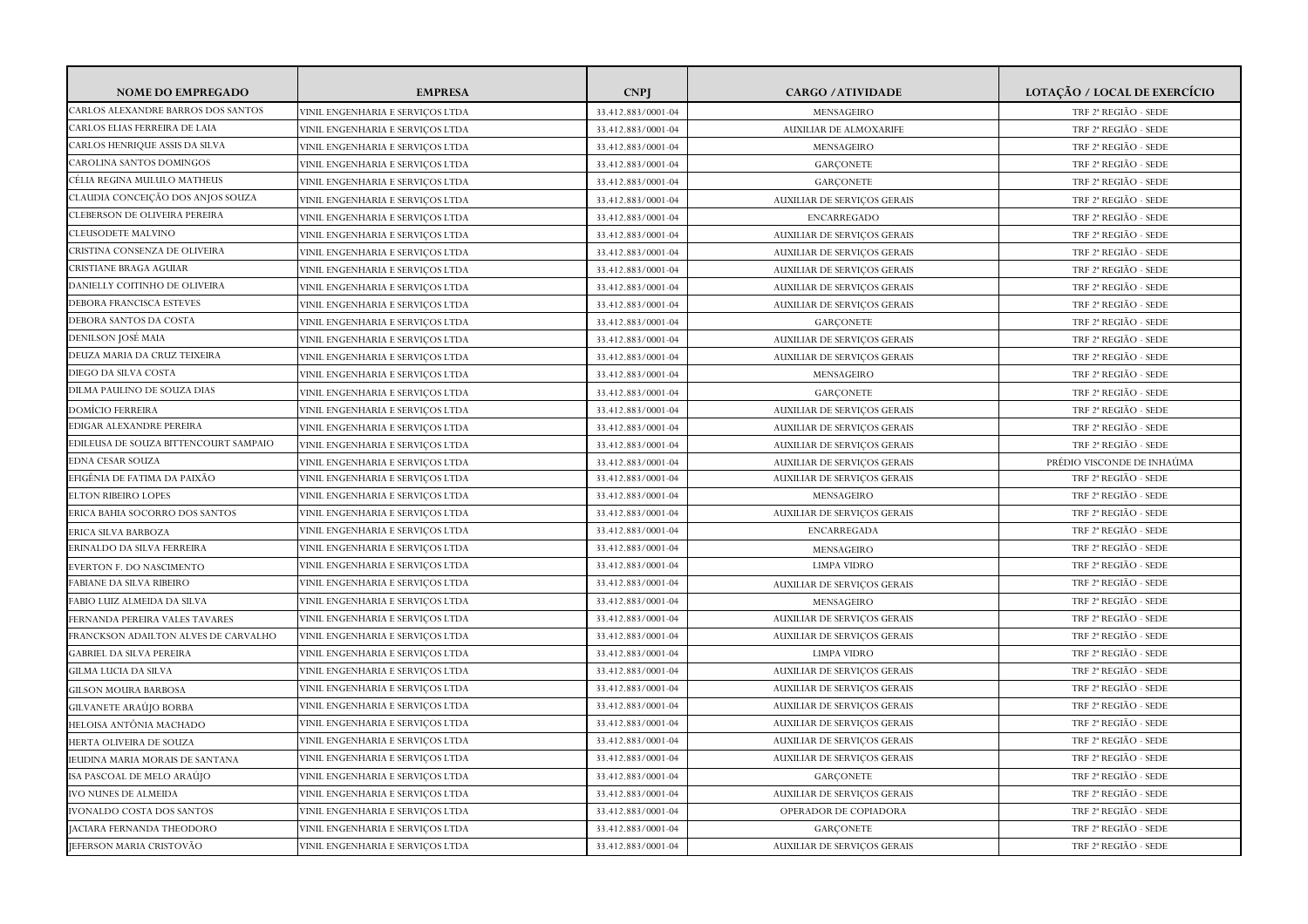| <b>NOME DO EMPREGADO</b>              | <b>EMPRESA</b>                          | <b>CNP</b>         | <b>CARGO / ATIVIDADE</b>           | LOTAÇÃO / LOCAL DE EXERCÍCIO     |
|---------------------------------------|-----------------------------------------|--------------------|------------------------------------|----------------------------------|
| CARLOS ALEXANDRE BARROS DOS SANTOS    | VINIL ENGENHARIA E SERVIÇOS LTDA        | 33.412.883/0001-04 | MENSAGEIRO                         | TRF 2ª REGIÃO - SEDE             |
| CARLOS ELIAS FERREIRA DE LAIA         | VINIL ENGENHARIA E SERVIÇOS LTDA        | 33.412.883/0001-04 | AUXILIAR DE ALMOXARIFE             | TRF 2 <sup>ª</sup> REGIÃO - SEDE |
| CARLOS HENRIQUE ASSIS DA SILVA        | VINIL ENGENHARIA E SERVICOS LTDA        | 33.412.883/0001-04 | MENSAGEIRO                         | TRF 2ª REGIÃO - SEDE             |
| CAROLINA SANTOS DOMINGOS              | VINIL ENGENHARIA E SERVIÇOS LTDA        | 33.412.883/0001-04 | GARÇONETE                          | TRF 2 <sup>ª</sup> REGIÃO - SEDE |
| CÉLIA REGINA MULULO MATHEUS           | <b>JINIL ENGENHARIA E SERVIÇOS LTDA</b> | 33.412.883/0001-04 | <b>GARCONETE</b>                   | TRF 2 <sup>ª</sup> REGIÃO - SEDE |
| CLAUDIA CONCEIÇÃO DOS ANJOS SOUZA     | VINIL ENGENHARIA E SERVICOS LTDA        | 33.412.883/0001-04 | <b>AUXILIAR DE SERVIÇOS GERAIS</b> | TRF 2ª REGIÃO - SEDE             |
| CLEBERSON DE OLIVEIRA PEREIRA         | VINIL ENGENHARIA E SERVIÇOS LTDA        | 33.412.883/0001-04 | ENCARREGADO                        | TRF 2 <sup>ª</sup> REGIÃO - SEDE |
| CLEUSODETE MALVINO                    | VINIL ENGENHARIA E SERVICOS LTDA        | 33.412.883/0001-04 | <b>AUXILIAR DE SERVICOS GERAIS</b> | TRF 2 <sup>ª</sup> REGIÃO - SEDE |
| CRISTINA CONSENZA DE OLIVEIRA         | VINIL ENGENHARIA E SERVIÇOS LTDA        | 33.412.883/0001-04 | <b>AUXILIAR DE SERVIÇOS GERAIS</b> | TRF 2ª REGIÃO - SEDE             |
| CRISTIANE BRAGA AGUIAR                | VINIL ENGENHARIA E SERVIÇOS LTDA        | 33.412.883/0001-04 | <b>AUXILIAR DE SERVIÇOS GERAIS</b> | TRF 2 <sup>ª</sup> REGIÃO - SEDE |
| DANIELLY COITINHO DE OLIVEIRA         | VINIL ENGENHARIA E SERVIÇOS LTDA        | 33.412.883/0001-04 | <b>AUXILIAR DE SERVICOS GERAIS</b> | TRF 2ª REGIÃO - SEDE             |
| DEBORA FRANCISCA ESTEVES              | VINIL ENGENHARIA E SERVIÇOS LTDA        | 33.412.883/0001-04 | <b>AUXILIAR DE SERVIÇOS GERAIS</b> | TRF 2 <sup>ª</sup> REGIÃO - SEDE |
| DEBORA SANTOS DA COSTA                | VINIL ENGENHARIA E SERVICOS LTDA        | 33.412.883/0001-04 | <b>GARCONETE</b>                   | TRF 2 <sup>ª</sup> REGIÃO - SEDE |
| DENILSON JOSÉ MAIA                    | VINIL ENGENHARIA E SERVIÇOS LTDA        | 33.412.883/0001-04 | <b>AUXILIAR DE SERVIÇOS GERAIS</b> | TRF 2ª REGIÃO - SEDE             |
| DEUZA MARIA DA CRUZ TEIXEIRA          | VINIL ENGENHARIA E SERVIÇOS LTDA        | 33.412.883/0001-04 | <b>AUXILIAR DE SERVIÇOS GERAIS</b> | TRF 2ª REGIÃO - SEDE             |
| DIEGO DA SILVA COSTA                  | VINIL ENGENHARIA E SERVICOS LTDA        | 33.412.883/0001-04 | MENSAGEIRO                         | TRF 2 <sup>ª</sup> REGIÃO - SEDE |
| DILMA PAULINO DE SOUZA DIAS           | VINIL ENGENHARIA E SERVIÇOS LTDA        | 33.412.883/0001-04 | <b>GARCONETE</b>                   | TRF 2ª REGIÃO - SEDE             |
| <b>DOMÍCIO FERREIRA</b>               | VINIL ENGENHARIA E SERVICOS LTDA        | 33.412.883/0001-04 | <b>AUXILIAR DE SERVIÇOS GERAIS</b> | TRF 2 <sup>ª</sup> REGIÃO - SEDE |
| EDIGAR ALEXANDRE PEREIRA              | VINIL ENGENHARIA E SERVIÇOS LTDA        | 33.412.883/0001-04 | AUXILIAR DE SERVIÇOS GERAIS        | TRF 2 <sup>ª</sup> REGIÃO - SEDE |
| EDILEUSA DE SOUZA BITTENCOURT SAMPAIO | VINIL ENGENHARIA E SERVIÇOS LTDA        | 33.412.883/0001-04 | <b>AUXILIAR DE SERVIÇOS GERAIS</b> | TRF 2 <sup>ª</sup> REGIÃO - SEDE |
| <b>EDNA CESAR SOUZA</b>               | VINIL ENGENHARIA E SERVICOS LTDA        | 33.412.883/0001-04 | <b>AUXILIAR DE SERVICOS GERAIS</b> | PRÉDIO VISCONDE DE INHAÚMA       |
| EFIGÊNIA DE FATIMA DA PAIXÃO          | VINIL ENGENHARIA E SERVIÇOS LTDA        | 33.412.883/0001-04 | <b>AUXILIAR DE SERVIÇOS GERAIS</b> | TRF 2ª REGIÃO - SEDE             |
| <b>ELTON RIBEIRO LOPES</b>            | VINIL ENGENHARIA E SERVIÇOS LTDA        | 33.412.883/0001-04 | MENSAGEIRO                         | TRF 2ª REGIÃO - SEDE             |
| ERICA BAHIA SOCORRO DOS SANTOS        | VINIL ENGENHARIA E SERVIÇOS LTDA        | 33.412.883/0001-04 | <b>AUXILIAR DE SERVIÇOS GERAIS</b> | TRF 2 <sup>ª</sup> REGIÃO - SEDE |
| ERICA SILVA BARBOZA                   | VINIL ENGENHARIA E SERVIÇOS LTDA        | 33.412.883/0001-04 | ENCARREGADA                        | TRF 2 <sup>ª</sup> REGIÃO - SEDE |
| ERINALDO DA SILVA FERREIRA            | VINIL ENGENHARIA E SERVIÇOS LTDA        | 33.412.883/0001-04 | MENSAGEIRO                         | TRF 2ª REGIÃO - SEDE             |
| EVERTON F. DO NASCIMENTO              | VINIL ENGENHARIA E SERVIÇOS LTDA        | 33.412.883/0001-04 | <b>LIMPA VIDRO</b>                 | TRF 2 <sup>ª</sup> REGIÃO - SEDE |
| FABIANE DA SILVA RIBEIRO              | VINIL ENGENHARIA E SERVICOS LTDA        | 33.412.883/0001-04 | <b>AUXILIAR DE SERVIÇOS GERAIS</b> | TRF 2ª REGIÃO - SEDE             |
| FABIO LUIZ ALMEIDA DA SILVA           | VINIL ENGENHARIA E SERVIÇOS LTDA        | 33.412.883/0001-04 | MENSAGEIRO                         | TRF 2 <sup>ª</sup> REGIÃO - SEDE |
| FERNANDA PEREIRA VALES TAVARES        | VINIL ENGENHARIA E SERVIÇOS LTDA        | 33.412.883/0001-04 | <b>AUXILIAR DE SERVIÇOS GERAIS</b> | TRF 2 <sup>ª</sup> REGIÃO - SEDE |
| FRANCKSON ADAILTON ALVES DE CARVALHO  | VINIL ENGENHARIA E SERVIÇOS LTDA        | 33.412.883/0001-04 | <b>AUXILIAR DE SERVIÇOS GERAIS</b> | TRF 2ª REGIÃO - SEDE             |
| <b>GABRIEL DA SILVA PEREIRA</b>       | VINIL ENGENHARIA E SERVIÇOS LTDA        | 33.412.883/0001-04 | <b>LIMPA VIDRO</b>                 | TRF 2 <sup>ª</sup> REGIÃO - SEDE |
| GILMA LUCIA DA SILVA                  | VINIL ENGENHARIA E SERVIÇOS LTDA        | 33.412.883/0001-04 | AUXILIAR DE SERVIÇOS GERAIS        | TRF 2 <sup>ª</sup> REGIÃO - SEDE |
| GILSON MOURA BARBOSA                  | VINIL ENGENHARIA E SERVIÇOS LTDA        | 33.412.883/0001-04 | <b>AUXILIAR DE SERVIÇOS GERAIS</b> | TRF 2ª REGIÃO - SEDE             |
| GILVANETE ARAÚJO BORBA                | VINIL ENGENHARIA E SERVIÇOS LTDA        | 33.412.883/0001-04 | <b>AUXILIAR DE SERVIÇOS GERAIS</b> | TRF 2 <sup>ª</sup> REGIÃO - SEDE |
| HELOISA ANTÔNIA MACHADO               | VINIL ENGENHARIA E SERVIÇOS LTDA        | 33.412.883/0001-04 | <b>AUXILIAR DE SERVIÇOS GERAIS</b> | TRF 2 <sup>ª</sup> REGIÃO - SEDE |
| HERTA OLIVEIRA DE SOUZA               | VINIL ENGENHARIA E SERVIÇOS LTDA        | 33.412.883/0001-04 | AUXILIAR DE SERVIÇOS GERAIS        | TRF 2 <sup>ª</sup> REGIÃO - SEDE |
| IEUDINA MARIA MORAIS DE SANTANA       | VINIL ENGENHARIA E SERVIÇOS LTDA        | 33.412.883/0001-04 | AUXILIAR DE SERVIÇOS GERAIS        | TRF 2 <sup>ª</sup> REGIÃO - SEDE |
| ISA PASCOAL DE MELO ARAÚJO            | VINIL ENGENHARIA E SERVIÇOS LTDA        | 33.412.883/0001-04 | <b>GARCONETE</b>                   | TRF 2ª REGIÃO - SEDE             |
| <b>IVO NUNES DE ALMEIDA</b>           | VINIL ENGENHARIA E SERVIÇOS LTDA        | 33.412.883/0001-04 | <b>AUXILIAR DE SERVIÇOS GERAIS</b> | TRF 2 <sup>ª</sup> REGIÃO - SEDE |
| <b>IVONALDO COSTA DOS SANTOS</b>      | VINIL ENGENHARIA E SERVICOS LTDA        | 33.412.883/0001-04 | OPERADOR DE COPIADORA              | TRF 2 <sup>ª</sup> REGIÃO - SEDE |
| <b>JACIARA FERNANDA THEODORO</b>      | VINIL ENGENHARIA E SERVICOS LTDA        | 33.412.883/0001-04 | <b>GARCONETE</b>                   | TRF 2 <sup>ª</sup> REGIÃO - SEDE |
| JEFERSON MARIA CRISTOVÃO              | VINIL ENGENHARIA E SERVIÇOS LTDA        | 33.412.883/0001-04 | <b>AUXILIAR DE SERVIÇOS GERAIS</b> | TRF 2 <sup>ª</sup> REGIÃO - SEDE |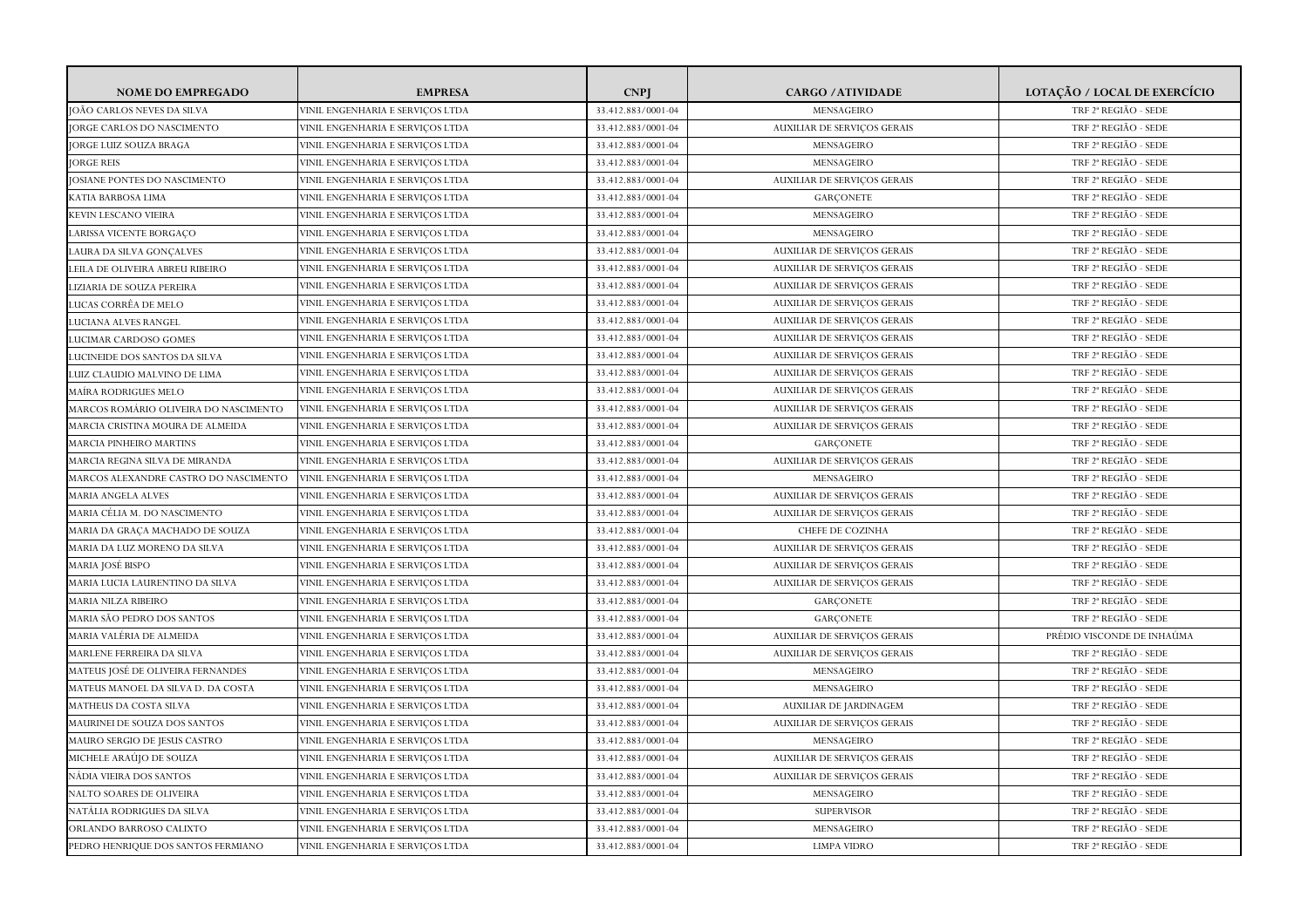| <b>NOME DO EMPREGADO</b>              | <b>EMPRESA</b>                   | <b>CNPI</b>        | <b>CARGO / ATIVIDADE</b>           | LOTAÇÃO / LOCAL DE EXERCÍCIO     |
|---------------------------------------|----------------------------------|--------------------|------------------------------------|----------------------------------|
| JOÃO CARLOS NEVES DA SILVA            | VINIL ENGENHARIA E SERVICOS LTDA | 33.412.883/0001-04 | MENSAGEIRO                         | TRF 2 <sup>ª</sup> REGIÃO - SEDE |
| <b>JORGE CARLOS DO NASCIMENTO</b>     | VINIL ENGENHARIA E SERVIÇOS LTDA | 33.412.883/0001-04 | <b>AUXILIAR DE SERVIÇOS GERAIS</b> | TRF 2ª REGIÃO - SEDE             |
| <b>JORGE LUIZ SOUZA BRAGA</b>         | VINIL ENGENHARIA E SERVIÇOS LTDA | 33.412.883/0001-04 | MENSAGEIRO                         | TRF 2 <sup>ª</sup> REGIÃO - SEDE |
| <b>JORGE REIS</b>                     | VINIL ENGENHARIA E SERVIÇOS LTDA | 33.412.883/0001-04 | MENSAGEIRO                         | TRF 2 <sup>ª</sup> REGIÃO - SEDE |
| <b>JOSIANE PONTES DO NASCIMENTO</b>   | VINIL ENGENHARIA E SERVIÇOS LTDA | 33.412.883/0001-04 | <b>AUXILIAR DE SERVIÇOS GERAIS</b> | TRF 2ª REGIÃO - SEDE             |
| KATIA BARBOSA LIMA                    | VINIL ENGENHARIA E SERVICOS LTDA | 33.412.883/0001-04 | <b>GARCONETE</b>                   | TRF 2ª REGIÃO - SEDE             |
| KEVIN LESCANO VIEIRA                  | VINIL ENGENHARIA E SERVIÇOS LTDA | 33.412.883/0001-04 | MENSAGEIRO                         | TRF 2 <sup>ª</sup> REGIÃO - SEDE |
| LARISSA VICENTE BORGAÇO               | VINIL ENGENHARIA E SERVIÇOS LTDA | 33.412.883/0001-04 | MENSAGEIRO                         | TRF 2 <sup>ª</sup> REGIÃO - SEDE |
| LAURA DA SILVA GONCALVES              | VINIL ENGENHARIA E SERVIÇOS LTDA | 33.412.883/0001-04 | <b>AUXILIAR DE SERVIÇOS GERAIS</b> | TRF 2ª REGIÃO - SEDE             |
| LEILA DE OLIVEIRA ABREU RIBEIRO       | VINIL ENGENHARIA E SERVIÇOS LTDA | 33.412.883/0001-04 | <b>AUXILIAR DE SERVIÇOS GERAIS</b> | TRF 2ª REGIÃO - SEDE             |
| LIZIARIA DE SOUZA PEREIRA             | VINIL ENGENHARIA E SERVICOS LTDA | 33.412.883/0001-04 | <b>AUXILIAR DE SERVICOS GERAIS</b> | TRF 2 <sup>ª</sup> REGIÃO - SEDE |
| LUCAS CORRÊA DE MELO                  | VINIL ENGENHARIA E SERVIÇOS LTDA | 33.412.883/0001-04 | <b>AUXILIAR DE SERVIÇOS GERAIS</b> | TRF 2ª REGIÃO - SEDE             |
| LUCIANA ALVES RANGEL                  | VINIL ENGENHARIA E SERVIÇOS LTDA | 33.412.883/0001-04 | <b>AUXILIAR DE SERVIÇOS GERAIS</b> | TRF 2 <sup>ª</sup> REGIÃO - SEDE |
| LUCIMAR CARDOSO GOMES                 | VINIL ENGENHARIA E SERVIÇOS LTDA | 33.412.883/0001-04 | <b>AUXILIAR DE SERVIÇOS GERAIS</b> | TRF 2ª REGIÃO - SEDE             |
| LUCINEIDE DOS SANTOS DA SILVA         | VINIL ENGENHARIA E SERVIÇOS LTDA | 33.412.883/0001-04 | <b>AUXILIAR DE SERVIÇOS GERAIS</b> | TRF 2ª REGIÃO - SEDE             |
| LUIZ CLAUDIO MALVINO DE LIMA          | VINIL ENGENHARIA E SERVICOS LTDA | 33.412.883/0001-04 | <b>AUXILIAR DE SERVICOS GERAIS</b> | TRF 2 <sup>ª</sup> REGIÃO - SEDE |
| MAÍRA RODRIGUES MELO                  | VINIL ENGENHARIA E SERVIÇOS LTDA | 33.412.883/0001-04 | <b>AUXILIAR DE SERVIÇOS GERAIS</b> | TRF 2ª REGIÃO - SEDE             |
| MARCOS ROMÁRIO OLIVEIRA DO NASCIMENTO | VINIL ENGENHARIA E SERVIÇOS LTDA | 33.412.883/0001-04 | <b>AUXILIAR DE SERVIÇOS GERAIS</b> | TRF 2ª REGIÃO - SEDE             |
| MARCIA CRISTINA MOURA DE ALMEIDA      | VINIL ENGENHARIA E SERVIÇOS LTDA | 33.412.883/0001-04 | <b>AUXILIAR DE SERVIÇOS GERAIS</b> | TRF 2ª REGIÃO - SEDE             |
| MARCIA PINHEIRO MARTINS               | VINIL ENGENHARIA E SERVIÇOS LTDA | 33.412.883/0001-04 | <b>GARCONETE</b>                   | TRF 2 <sup>ª</sup> REGIÃO - SEDE |
| MARCIA REGINA SILVA DE MIRANDA        | VINIL ENGENHARIA E SERVICOS LTDA | 33.412.883/0001-04 | <b>AUXILIAR DE SERVICOS GERAIS</b> | TRF 2 <sup>ª</sup> REGIÃO - SEDE |
| MARCOS ALEXANDRE CASTRO DO NASCIMENTO | VINIL ENGENHARIA E SERVIÇOS LTDA | 33.412.883/0001-04 | MENSAGEIRO                         | TRF 2ª REGIÃO - SEDE             |
| MARIA ANGELA ALVES                    | VINIL ENGENHARIA E SERVIÇOS LTDA | 33.412.883/0001-04 | AUXILIAR DE SERVIÇOS GERAIS        | TRF 2 <sup>ª</sup> REGIÃO - SEDE |
| MARIA CÉLIA M. DO NASCIMENTO          | VINIL ENGENHARIA E SERVIÇOS LTDA | 33.412.883/0001-04 | <b>AUXILIAR DE SERVICOS GERAIS</b> | TRF 2 <sup>ª</sup> REGIÃO - SEDE |
| MARIA DA GRAÇA MACHADO DE SOUZA       | VINIL ENGENHARIA E SERVIÇOS LTDA | 33.412.883/0001-04 | CHEFE DE COZINHA                   | TRF 2ª REGIÃO - SEDE             |
| MARIA DA LUZ MORENO DA SILVA          | VINIL ENGENHARIA E SERVIÇOS LTDA | 33.412.883/0001-04 | <b>AUXILIAR DE SERVIÇOS GERAIS</b> | TRF 2 <sup>ª</sup> REGIÃO - SEDE |
| MARIA JOSÉ BISPO                      | VINIL ENGENHARIA E SERVIÇOS LTDA | 33.412.883/0001-04 | <b>AUXILIAR DE SERVIÇOS GERAIS</b> | TRF 2 <sup>ª</sup> REGIÃO - SEDE |
| MARIA LUCIA LAURENTINO DA SILVA       | VINIL ENGENHARIA E SERVIÇOS LTDA | 33.412.883/0001-04 | <b>AUXILIAR DE SERVIÇOS GERAIS</b> | TRF 2ª REGIÃO - SEDE             |
| <b>MARIA NILZA RIBEIRO</b>            | VINIL ENGENHARIA E SERVICOS LTDA | 33.412.883/0001-04 | <b>GARCONETE</b>                   | TRF 2ª REGIÃO - SEDE             |
| MARIA SÃO PEDRO DOS SANTOS            | VINIL ENGENHARIA E SERVIÇOS LTDA | 33.412.883/0001-04 | <b>GARCONETE</b>                   | TRF 2 <sup>ª</sup> REGIÃO - SEDE |
| MARIA VALÉRIA DE ALMEIDA              | VINIL ENGENHARIA E SERVIÇOS LTDA | 33.412.883/0001-04 | <b>AUXILIAR DE SERVICOS GERAIS</b> | PRÉDIO VISCONDE DE INHAÚMA       |
| MARLENE FERREIRA DA SILVA             | VINIL ENGENHARIA E SERVIÇOS LTDA | 33.412.883/0001-04 | <b>AUXILIAR DE SERVIÇOS GERAIS</b> | TRF 2 <sup>ª</sup> REGIÃO - SEDE |
| MATEUS JOSÉ DE OLIVEIRA FERNANDES     | VINIL ENGENHARIA E SERVIÇOS LTDA | 33.412.883/0001-04 | MENSAGEIRO                         | TRF 2 <sup>ª</sup> REGIÃO - SEDE |
| MATEUS MANOEL DA SILVA D. DA COSTA    | VINIL ENGENHARIA E SERVICOS LTDA | 33.412.883/0001-04 | MENSAGEIRO                         | TRF 2ª REGIÃO - SEDE             |
| MATHEUS DA COSTA SILVA                | VINIL ENGENHARIA E SERVIÇOS LTDA | 33.412.883/0001-04 | AUXILIAR DE JARDINAGEM             | TRF 2ª REGIÃO - SEDE             |
| MAURINEI DE SOUZA DOS SANTOS          | VINIL ENGENHARIA E SERVIÇOS LTDA | 33.412.883/0001-04 | <b>AUXILIAR DE SERVIÇOS GERAIS</b> | TRF 2 <sup>ª</sup> REGIÃO - SEDE |
| MAURO SERGIO DE JESUS CASTRO          | VINIL ENGENHARIA E SERVIÇOS LTDA | 33.412.883/0001-04 | MENSAGEIRO                         | TRF 2 <sup>ª</sup> REGIÃO - SEDE |
| MICHELE ARAÚJO DE SOUZA               | VINIL ENGENHARIA E SERVIÇOS LTDA | 33.412.883/0001-04 | <b>AUXILIAR DE SERVIÇOS GERAIS</b> | TRF 2 <sup>ª</sup> REGIÃO - SEDE |
| NÁDIA VIEIRA DOS SANTOS               | VINIL ENGENHARIA E SERVIÇOS LTDA | 33.412.883/0001-04 | <b>AUXILIAR DE SERVIÇOS GERAIS</b> | TRF 2 <sup>ª</sup> REGIÃO - SEDE |
| NALTO SOARES DE OLIVEIRA              | VINIL ENGENHARIA E SERVIÇOS LTDA | 33.412.883/0001-04 | MENSAGEIRO                         | TRF 2 <sup>ª</sup> REGIÃO - SEDE |
| NATÁLIA RODRIGUES DA SILVA            | VINIL ENGENHARIA E SERVICOS LTDA | 33.412.883/0001-04 | <b>SUPERVISOR</b>                  | TRF 2ª REGIÃO - SEDE             |
| ORLANDO BARROSO CALIXTO               | VINIL ENGENHARIA E SERVICOS LTDA | 33.412.883/0001-04 | MENSAGEIRO                         | TRF 2 <sup>ª</sup> REGIÃO - SEDE |
| PEDRO HENRIQUE DOS SANTOS FERMIANO    | VINIL ENGENHARIA E SERVIÇOS LTDA | 33.412.883/0001-04 | <b>LIMPA VIDRO</b>                 | TRF 2 <sup>ª</sup> REGIÃO - SEDE |
|                                       |                                  |                    |                                    |                                  |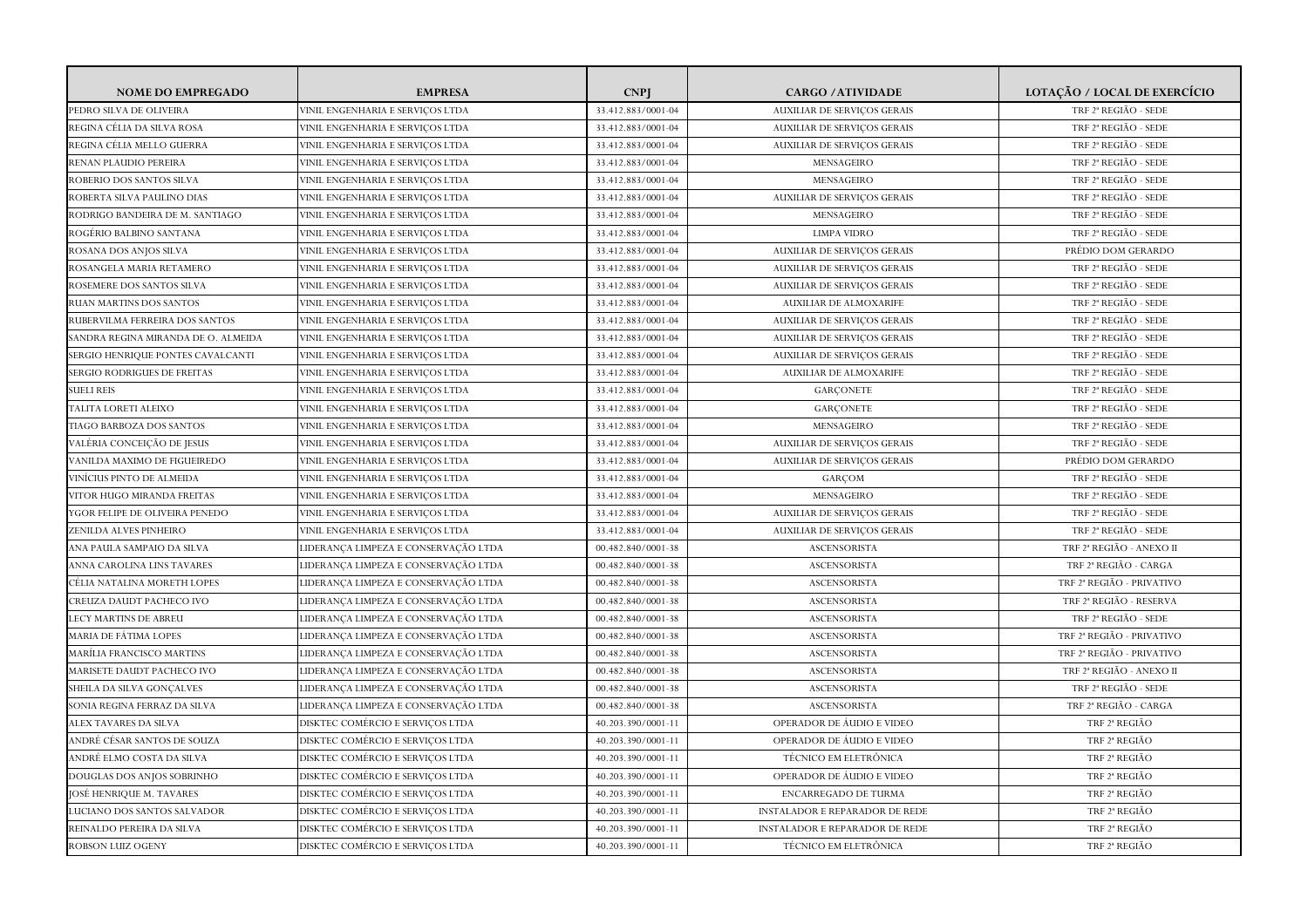| <b>NOME DO EMPREGADO</b>            | <b>EMPRESA</b>                       | <b>CNPI</b>        | <b>CARGO / ATIVIDADE</b>              | LOTAÇÃO / LOCAL DE EXERCÍCIO          |
|-------------------------------------|--------------------------------------|--------------------|---------------------------------------|---------------------------------------|
| PEDRO SILVA DE OLIVEIRA             | VINIL ENGENHARIA E SERVICOS LTDA     | 33.412.883/0001-04 | <b>AUXILIAR DE SERVICOS GERAIS</b>    | TRF 2 <sup>ª</sup> REGIÃO - SEDE      |
| REGINA CÉLIA DA SILVA ROSA          | VINIL ENGENHARIA E SERVIÇOS LTDA     | 33.412.883/0001-04 | <b>AUXILIAR DE SERVIÇOS GERAIS</b>    | TRF 2ª REGIÃO - SEDE                  |
| REGINA CÉLIA MELLO GUERRA           | VINIL ENGENHARIA E SERVIÇOS LTDA     | 33.412.883/0001-04 | AUXILIAR DE SERVIÇOS GERAIS           | TRF 2ª REGIÃO - SEDE                  |
| RENAN PLAUDIO PEREIRA               | VINIL ENGENHARIA E SERVIÇOS LTDA     | 33.412.883/0001-04 | MENSAGEIRO                            | TRF 2 <sup>ª</sup> REGIÃO - SEDE      |
| ROBERIO DOS SANTOS SILVA            | VINIL ENGENHARIA E SERVIÇOS LTDA     | 33.412.883/0001-04 | MENSAGEIRO                            | TRF 2ª REGIÃO - SEDE                  |
| ROBERTA SILVA PAULINO DIAS          | VINIL ENGENHARIA E SERVIÇOS LTDA     | 33.412.883/0001-04 | <b>AUXILIAR DE SERVICOS GERAIS</b>    | TRF 2ª REGIÃO - SEDE                  |
| RODRIGO BANDEIRA DE M. SANTIAGO     | VINIL ENGENHARIA E SERVIÇOS LTDA     | 33.412.883/0001-04 | MENSAGEIRO                            | TRF 2 <sup>ª</sup> REGIÃO - SEDE      |
| ROGÉRIO BALBINO SANTANA             | VINIL ENGENHARIA E SERVIÇOS LTDA     | 33.412.883/0001-04 | <b>LIMPA VIDRO</b>                    | TRF 2 <sup>ª</sup> REGIÃO - SEDE      |
| ROSANA DOS ANJOS SILVA              | VINIL ENGENHARIA E SERVIÇOS LTDA     | 33.412.883/0001-04 | <b>AUXILIAR DE SERVIÇOS GERAIS</b>    | PRÉDIO DOM GERARDO                    |
| ROSANGELA MARIA RETAMERO            | VINIL ENGENHARIA E SERVIÇOS LTDA     | 33.412.883/0001-04 | <b>AUXILIAR DE SERVIÇOS GERAIS</b>    | TRF 2ª REGIÃO - SEDE                  |
| ROSEMERE DOS SANTOS SILVA           | VINIL ENGENHARIA E SERVICOS LTDA     | 33.412.883/0001-04 | <b>AUXILIAR DE SERVICOS GERAIS</b>    | TRF 2 <sup>ª</sup> REGIÃO - SEDE      |
| RUAN MARTINS DOS SANTOS             | VINIL ENGENHARIA E SERVIÇOS LTDA     | 33.412.883/0001-04 | <b>AUXILIAR DE ALMOXARIFE</b>         | TRF 2ª REGIÃO - SEDE                  |
| RUBERVILMA FERREIRA DOS SANTOS      | VINIL ENGENHARIA E SERVIÇOS LTDA     | 33.412.883/0001-04 | <b>AUXILIAR DE SERVIÇOS GERAIS</b>    | TRF 2 <sup>ª</sup> REGIÃO - SEDE      |
| SANDRA REGINA MIRANDA DE O. ALMEIDA | VINIL ENGENHARIA E SERVIÇOS LTDA     | 33.412.883/0001-04 | <b>AUXILIAR DE SERVIÇOS GERAIS</b>    | TRF 2ª REGIÃO - SEDE                  |
| SERGIO HENRIQUE PONTES CAVALCANTI   | VINIL ENGENHARIA E SERVIÇOS LTDA     | 33.412.883/0001-04 | <b>AUXILIAR DE SERVIÇOS GERAIS</b>    | TRF 2ª REGIÃO - SEDE                  |
| SERGIO RODRIGUES DE FREITAS         | VINIL ENGENHARIA E SERVICOS LTDA     | 33.412.883/0001-04 | <b>AUXILIAR DE ALMOXARIFE</b>         | TRF 2 <sup>ª</sup> REGIÃO - SEDE      |
| <b>SUELI REIS</b>                   | VINIL ENGENHARIA E SERVIÇOS LTDA     | 33.412.883/0001-04 | <b>GARCONETE</b>                      | TRF 2 <sup>ª</sup> REGIÃO - SEDE      |
| TALITA LORETI ALEIXO                | VINIL ENGENHARIA E SERVIÇOS LTDA     | 33.412.883/0001-04 | GARÇONETE                             | TRF 2ª REGIÃO - SEDE                  |
| TIAGO BARBOZA DOS SANTOS            | VINIL ENGENHARIA E SERVIÇOS LTDA     | 33.412.883/0001-04 | MENSAGEIRO                            | TRF 2ª REGIÃO - SEDE                  |
| VALÉRIA CONCEIÇÃO DE JESUS          | VINIL ENGENHARIA E SERVIÇOS LTDA     | 33.412.883/0001-04 | <b>AUXILIAR DE SERVIÇOS GERAIS</b>    | TRF 2 <sup>ª</sup> REGIÃO - SEDE      |
| VANILDA MAXIMO DE FIGUEIREDO        | VINIL ENGENHARIA E SERVICOS LTDA     | 33.412.883/0001-04 | <b>AUXILIAR DE SERVICOS GERAIS</b>    | PRÉDIO DOM GERARDO                    |
| VINÍCIUS PINTO DE ALMEIDA           | VINIL ENGENHARIA E SERVIÇOS LTDA     | 33.412.883/0001-04 | GARÇOM                                | TRF 2ª REGIÃO - SEDE                  |
| VITOR HUGO MIRANDA FREITAS          | VINIL ENGENHARIA E SERVIÇOS LTDA     | 33.412.883/0001-04 | MENSAGEIRO                            | TRF 2 <sup>ª</sup> REGIÃO - SEDE      |
| YGOR FELIPE DE OLIVEIRA PENEDO      | VINIL ENGENHARIA E SERVIÇOS LTDA     | 33.412.883/0001-04 | <b>AUXILIAR DE SERVIÇOS GERAIS</b>    | TRF 2 <sup>ª</sup> REGIÃO - SEDE      |
| ZENILDA ALVES PINHEIRO              | VINIL ENGENHARIA E SERVIÇOS LTDA     | 33.412.883/0001-04 | AUXILIAR DE SERVIÇOS GERAIS           | TRF 2 <sup>ª</sup> REGIÃO - SEDE      |
| ANA PAULA SAMPAIO DA SILVA          | LIDERANÇA LIMPEZA E CONSERVAÇÃO LTDA | 00.482.840/0001-38 | <b>ASCENSORISTA</b>                   | TRF 2ª REGIÃO - ANEXO II              |
| ANNA CAROLINA LINS TAVARES          | LIDERANÇA LIMPEZA E CONSERVAÇÃO LTDA | 00.482.840/0001-38 | <b>ASCENSORISTA</b>                   | TRF 2ª REGIÃO - CARGA                 |
| CÉLIA NATALINA MORETH LOPES         | LIDERANÇA LIMPEZA E CONSERVAÇÃO LTDA | 00.482.840/0001-38 | <b>ASCENSORISTA</b>                   | TRF 2ª REGIÃO - PRIVATIVO             |
| CREUZA DAUDT PACHECO IVO            | LIDERANÇA LIMPEZA E CONSERVAÇÃO LTDA | 00.482.840/0001-38 | <b>ASCENSORISTA</b>                   | TRF 2ª REGIÃO - RESERVA               |
| LECY MARTINS DE ABREU               | LIDERANÇA LIMPEZA E CONSERVAÇÃO LTDA | 00.482.840/0001-38 | <b>ASCENSORISTA</b>                   | TRF 2 <sup>ª</sup> REGIÃO - SEDE      |
| MARIA DE FÁTIMA LOPES               | LIDERANÇA LIMPEZA E CONSERVAÇÃO LTDA | 00.482.840/0001-38 | <b>ASCENSORISTA</b>                   | TRF 2 <sup>ª</sup> REGIÃO - PRIVATIVO |
| MARÍLIA FRANCISCO MARTINS           | LIDERANÇA LIMPEZA E CONSERVAÇÃO LTDA | 00.482.840/0001-38 | <b>ASCENSORISTA</b>                   | TRF 2 <sup>ª</sup> REGIÃO - PRIVATIVO |
| MARISETE DAUDT PACHECO IVO          | LIDERANÇA LIMPEZA E CONSERVAÇÃO LTDA | 00.482.840/0001-38 | <b>ASCENSORISTA</b>                   | TRF 2ª REGIÃO - ANEXO II              |
| SHEILA DA SILVA GONCALVES           | LIDERANÇA LIMPEZA E CONSERVAÇÃO LTDA | 00.482.840/0001-38 | <b>ASCENSORISTA</b>                   | TRF 2ª REGIÃO - SEDE                  |
| SONIA REGINA FERRAZ DA SILVA        | LIDERANÇA LIMPEZA E CONSERVAÇÃO LTDA | 00.482.840/0001-38 | <b>ASCENSORISTA</b>                   | TRF 2ª REGIÃO - CARGA                 |
| ALEX TAVARES DA SILVA               | DISKTEC COMÉRCIO E SERVIÇOS LTDA     | 40.203.390/0001-11 | OPERADOR DE ÁUDIO E VIDEO             | TRF 2 <sup>ª</sup> REGIÃO             |
| ANDRÉ CÉSAR SANTOS DE SOUZA         | DISKTEC COMÉRCIO E SERVIÇOS LTDA     | 40.203.390/0001-11 | OPERADOR DE ÁUDIO E VIDEO             | TRF 2 <sup>ª</sup> REGIÃO             |
| ANDRÉ ELMO COSTA DA SILVA           | DISKTEC COMÉRCIO E SERVIÇOS LTDA     | 40.203.390/0001-11 | TÉCNICO EM ELETRÔNICA                 | TRF 2 <sup>ª</sup> REGIÃO             |
| DOUGLAS DOS ANJOS SOBRINHO          | DISKTEC COMÉRCIO E SERVIÇOS LTDA     | 40.203.390/0001-11 | OPERADOR DE ÁUDIO E VIDEO             | TRF 2 <sup>ª</sup> REGIÃO             |
| JOSÉ HENRIQUE M. TAVARES            | DISKTEC COMÉRCIO E SERVIÇOS LTDA     | 40.203.390/0001-11 | <b>ENCARREGADO DE TURMA</b>           | TRF 2 <sup>ª</sup> REGIÃO             |
| LUCIANO DOS SANTOS SALVADOR         | DISKTEC COMÉRCIO E SERVIÇOS LTDA     | 40.203.390/0001-11 | <b>INSTALADOR E REPARADOR DE REDE</b> | TRF 2ª REGIÃO                         |
| REINALDO PEREIRA DA SILVA           | DISKTEC COMÉRCIO E SERVIÇOS LTDA     | 40.203.390/0001-11 | <b>INSTALADOR E REPARADOR DE REDE</b> | TRF 2 <sup>ª</sup> REGIÃO             |
| ROBSON LUIZ OGENY                   | DISKTEC COMÉRCIO E SERVIÇOS LTDA     | 40.203.390/0001-11 | TÉCNICO EM ELETRÔNICA                 | TRF 2 <sup>ª</sup> REGIÃO             |
|                                     |                                      |                    |                                       |                                       |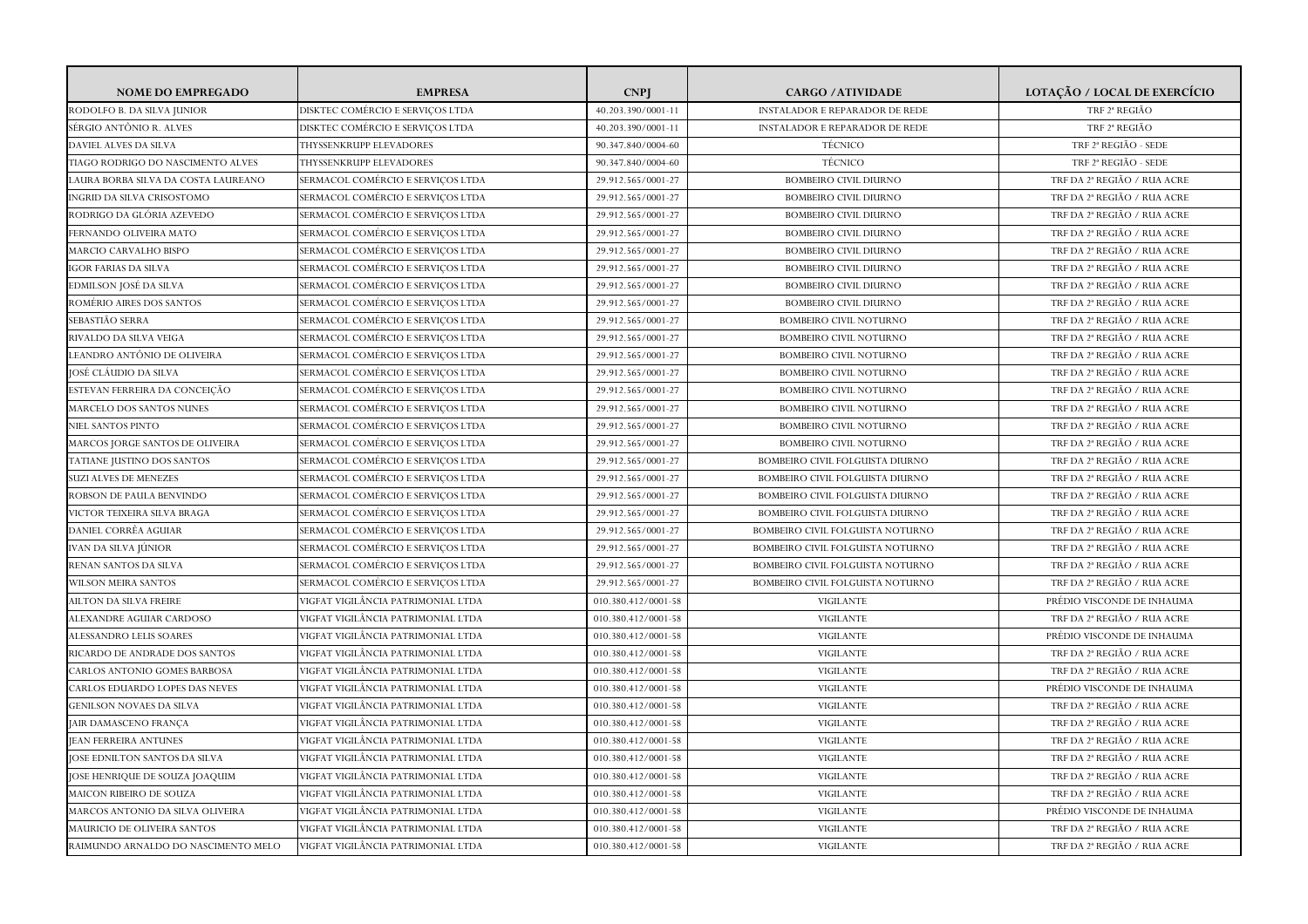| <b>NOME DO EMPREGADO</b>            | <b>EMPRESA</b>                     | <b>CNP</b>          | <b>CARGO / ATIVIDADE</b>               | LOTAÇÃO / LOCAL DE EXERCÍCIO     |
|-------------------------------------|------------------------------------|---------------------|----------------------------------------|----------------------------------|
| RODOLFO B. DA SILVA JUNIOR          | DISKTEC COMÉRCIO E SERVICOS LTDA   | 40.203.390/0001-11  | <b>INSTALADOR E REPARADOR DE REDE</b>  | TRF 2 <sup>ª</sup> REGIÃO        |
| SÉRGIO ANTÔNIO R. ALVES             | DISKTEC COMÉRCIO E SERVIÇOS LTDA   | 40.203.390/0001-11  | <b>INSTALADOR E REPARADOR DE REDE</b>  | TRF 2ª REGIÃO                    |
| DAVIEL ALVES DA SILVA               | THYSSENKRUPP ELEVADORES            | 90.347.840/0004-60  | TÉCNICO                                | TRF 2ª REGIÃO - SEDE             |
| TIAGO RODRIGO DO NASCIMENTO ALVES   | THYSSENKRUPP ELEVADORES            | 90.347.840/0004-60  | TÉCNICO                                | TRF 2 <sup>ª</sup> REGIÃO - SEDE |
| LAURA BORBA SILVA DA COSTA LAUREANO | SERMACOL COMÉRCIO E SERVIÇOS LTDA  | 29.912.565/0001-27  | <b>BOMBEIRO CIVIL DIURNO</b>           | TRF DA 2ª REGIÃO / RUA ACRE      |
| INGRID DA SILVA CRISOSTOMO          | SERMACOL COMÉRCIO E SERVIÇOS LTDA  | 29.912.565/0001-27  | <b>BOMBEIRO CIVIL DIURNO</b>           | TRF DA 2ª REGIÃO / RUA ACRE      |
| RODRIGO DA GLÓRIA AZEVEDO           | SERMACOL COMÉRCIO E SERVIÇOS LTDA  | 29.912.565/0001-27  | <b>BOMBEIRO CIVIL DIURNO</b>           | TRF DA 2ª REGIÃO / RUA ACRE      |
| FERNANDO OLIVEIRA MATO              | SERMACOL COMÉRCIO E SERVIÇOS LTDA  | 29.912.565/0001-27  | <b>BOMBEIRO CIVIL DIURNO</b>           | TRF DA 2ª REGIÃO / RUA ACRE      |
| MARCIO CARVALHO BISPO               | SERMACOL COMÉRCIO E SERVIÇOS LTDA  | 29.912.565/0001-27  | <b>BOMBEIRO CIVIL DIURNO</b>           | TRF DA 2ª REGIÃO / RUA ACRE      |
| <b>GOR FARIAS DA SILVA</b>          | SERMACOL COMÉRCIO E SERVIÇOS LTDA  | 29.912.565/0001-27  | <b>BOMBEIRO CIVIL DIURNO</b>           | TRF DA 2ª REGIÃO / RUA ACRE      |
| EDMILSON JOSÉ DA SILVA              | SERMACOL COMÉRCIO E SERVIÇOS LTDA  | 29.912.565/0001-27  | <b>BOMBEIRO CIVIL DIURNO</b>           | TRF DA 2ª REGIÃO / RUA ACRE      |
| ROMÉRIO AIRES DOS SANTOS            | SERMACOL COMÉRCIO E SERVIÇOS LTDA  | 29.912.565/0001-27  | <b>BOMBEIRO CIVIL DIURNO</b>           | TRF DA 2ª REGIÃO / RUA ACRE      |
| SEBASTIÃO SERRA                     | SERMACOL COMÉRCIO E SERVIÇOS LTDA  | 29.912.565/0001-27  | <b>BOMBEIRO CIVIL NOTURNO</b>          | TRE DA 2ª REGIÃO / RUA ACRE      |
| RIVALDO DA SILVA VEIGA              | SERMACOL COMÉRCIO E SERVIÇOS LTDA  | 29.912.565/0001-27  | <b>BOMBEIRO CIVIL NOTURNO</b>          | TRF DA 2ª REGIÃO / RUA ACRE      |
| LEANDRO ANTÔNIO DE OLIVEIRA         | SERMACOL COMÉRCIO E SERVIÇOS LTDA  | 29.912.565/0001-27  | <b>BOMBEIRO CIVIL NOTURNO</b>          | TRF DA 2ª REGIÃO / RUA ACRE      |
| IOSÉ CLÁUDIO DA SILVA               | SERMACOL COMÉRCIO E SERVICOS LTDA  | 29.912.565/0001-27  | <b>BOMBEIRO CIVIL NOTURNO</b>          | TRE DA 2ª REGIÃO / RUA ACRE      |
| ESTEVAN FERREIRA DA CONCEIÇÃO       | SERMACOL COMÉRCIO E SERVIÇOS LTDA  | 29.912.565/0001-27  | <b>BOMBEIRO CIVIL NOTURNO</b>          | TRF DA 2ª REGIÃO / RUA ACRE      |
| MARCELO DOS SANTOS NUNES            | SERMACOL COMÉRCIO E SERVIÇOS LTDA  | 29.912.565/0001-27  | <b>BOMBEIRO CIVIL NOTURNO</b>          | TRF DA 2ª REGIÃO / RUA ACRE      |
| NIEL SANTOS PINTO                   | SERMACOL COMÉRCIO E SERVIÇOS LTDA  | 29.912.565/0001-27  | <b>BOMBEIRO CIVIL NOTURNO</b>          | TRF DA 2ª REGIÃO / RUA ACRE      |
| MARCOS JORGE SANTOS DE OLIVEIRA     | SERMACOL COMÉRCIO E SERVIÇOS LTDA  | 29.912.565/0001-27  | <b>BOMBEIRO CIVIL NOTURNO</b>          | TRF DA 2ª REGIÃO / RUA ACRE      |
| TATIANE JUSTINO DOS SANTOS          | SERMACOL COMÉRCIO E SERVICOS LTDA  | 29.912.565/0001-27  | <b>BOMBEIRO CIVIL FOLGUISTA DIURNO</b> | TRF DA 2ª REGIÃO / RUA ACRE      |
| SUZI ALVES DE MENEZES               | SERMACOL COMÉRCIO E SERVIÇOS LTDA  | 29.912.565/0001-27  | BOMBEIRO CIVIL FOLGUISTA DIURNO        | TRF DA 2ª REGIÃO / RUA ACRE      |
| ROBSON DE PAULA BENVINDO            | SERMACOL COMÉRCIO E SERVIÇOS LTDA  | 29.912.565/0001-27  | BOMBEIRO CIVIL FOLGUISTA DIURNO        | TRF DA 2ª REGIÃO / RUA ACRE      |
| VICTOR TEIXEIRA SILVA BRAGA         | SERMACOL COMÉRCIO E SERVIÇOS LTDA  | 29.912.565/0001-27  | <b>BOMBEIRO CIVIL FOLGUISTA DIURNO</b> | TRF DA 2ª REGIÃO / RUA ACRE      |
| DANIEL CORRÊA AGUIAR                | SERMACOL COMÉRCIO E SERVIÇOS LTDA  | 29.912.565/0001-27  | BOMBEIRO CIVIL FOLGUISTA NOTURNO       | TRF DA 2ª REGIÃO / RUA ACRE      |
| IVAN DA SILVA JÚNIOR                | SERMACOL COMÉRCIO E SERVIÇOS LTDA  | 29.912.565/0001-27  | BOMBEIRO CIVIL FOLGUISTA NOTURNO       | TRF DA 2ª REGIÃO / RUA ACRE      |
| RENAN SANTOS DA SILVA               | SERMACOL COMÉRCIO E SERVIÇOS LTDA  | 29.912.565/0001-27  | BOMBEIRO CIVIL FOLGUISTA NOTURNO       | TRF DA 2ª REGIÃO / RUA ACRE      |
| WILSON MEIRA SANTOS                 | SERMACOL COMÉRCIO E SERVIÇOS LTDA  | 29.912.565/0001-27  | BOMBEIRO CIVIL FOLGUISTA NOTURNO       | TRF DA 2ª REGIÃO / RUA ACRE      |
| AILTON DA SILVA FREIRE              | VIGFAT VIGILÂNCIA PATRIMONIAL LTDA | 010.380.412/0001-58 | <b>VIGILANTE</b>                       | PRÉDIO VISCONDE DE INHAUMA       |
| ALEXANDRE AGUIAR CARDOSO            | VIGFAT VIGILÂNCIA PATRIMONIAL LTDA | 010.380.412/0001-58 | VIGILANTE                              | TRF DA 2ª REGIÃO / RUA ACRE      |
| ALESSANDRO LELIS SOARES             | VIGFAT VIGILÂNCIA PATRIMONIAL LTDA | 010.380.412/0001-58 | <b>VIGILANTE</b>                       | PRÉDIO VISCONDE DE INHAUMA       |
| RICARDO DE ANDRADE DOS SANTOS       | VIGFAT VIGILÂNCIA PATRIMONIAL LTDA | 010.380.412/0001-58 | <b>VIGILANTE</b>                       | TRF DA 2ª REGIÃO / RUA ACRE      |
| CARLOS ANTONIO GOMES BARBOSA        | VIGFAT VIGILÂNCIA PATRIMONIAL LTDA | 010.380.412/0001-58 | <b>VIGILANTE</b>                       | TRF DA 2ª REGIÃO / RUA ACRE      |
| CARLOS EDUARDO LOPES DAS NEVES      | VIGFAT VIGILÂNCIA PATRIMONIAL LTDA | 010.380.412/0001-58 | <b>VIGILANTE</b>                       | PRÉDIO VISCONDE DE INHAUMA       |
| GENILSON NOVAES DA SILVA            | VIGFAT VIGILÂNCIA PATRIMONIAL LTDA | 010.380.412/0001-58 | <b>VIGILANTE</b>                       | TRF DA 2ª REGIÃO / RUA ACRE      |
| JAIR DAMASCENO FRANÇA               | VIGFAT VIGILÂNCIA PATRIMONIAL LTDA | 010.380.412/0001-58 | <b>VIGILANTE</b>                       | TRF DA 2ª REGIÃO / RUA ACRE      |
| <b>JEAN FERREIRA ANTUNES</b>        | VIGFAT VIGILÂNCIA PATRIMONIAL LTDA | 010.380.412/0001-58 | <b>VIGILANTE</b>                       | TRF DA 2ª REGIÃO / RUA ACRE      |
| JOSE EDNILTON SANTOS DA SILVA       | VIGFAT VIGILÂNCIA PATRIMONIAL LTDA | 010.380.412/0001-58 | <b>VIGILANTE</b>                       | TRF DA 2ª REGIÃO / RUA ACRE      |
| JOSE HENRIQUE DE SOUZA JOAQUIM      | VIGFAT VIGILÂNCIA PATRIMONIAL LTDA | 010.380.412/0001-58 | <b>VIGILANTE</b>                       | TRF DA 2ª REGIÃO / RUA ACRE      |
| MAICON RIBEIRO DE SOUZA             | VIGFAT VIGILÂNCIA PATRIMONIAL LTDA | 010.380.412/0001-58 | <b>VIGILANTE</b>                       | TRF DA 2ª REGIÃO / RUA ACRE      |
| MARCOS ANTONIO DA SILVA OLIVEIRA    | VIGFAT VIGILÂNCIA PATRIMONIAL LTDA | 010.380.412/0001-58 | <b>VIGILANTE</b>                       | PRÉDIO VISCONDE DE INHAUMA       |
| MAURICIO DE OLIVEIRA SANTOS         | /IGFAT VIGILÂNCIA PATRIMONIAL LTDA | 010.380.412/0001-58 | <b>VIGILANTE</b>                       | TRF DA 2ª REGIÃO / RUA ACRE      |
| RAIMUNDO ARNALDO DO NASCIMENTO MELO | VIGFAT VIGILÂNCIA PATRIMONIAL LTDA | 010.380.412/0001-58 | <b>VIGILANTE</b>                       | TRF DA 2ª REGIÃO / RUA ACRE      |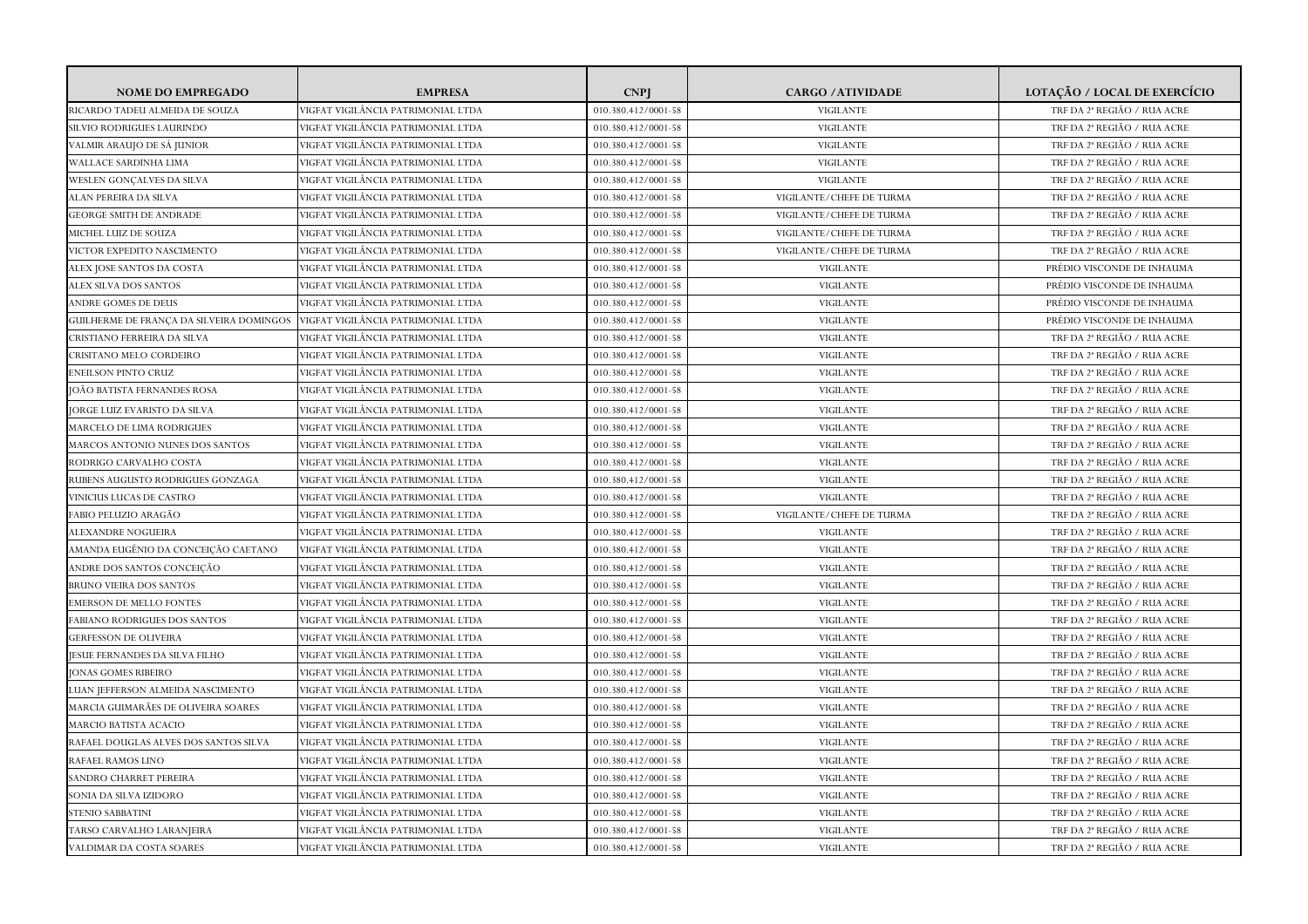| RICARDO TADEU ALMEIDA DE SOUZA<br>VIGFAT VIGILÂNCIA PATRIMONIAL LTDA<br>010.380.412/0001-58<br><b>VIGILANTE</b><br>TRF DA 2ª REGIÃO / RUA ACRE<br>SILVIO RODRIGUES LAURINDO<br>VIGFAT VIGILÂNCIA PATRIMONIAL LTDA<br>010.380.412/0001-58<br><b>VIGILANTE</b><br>TRF DA 2ª REGIÃO / RUA ACRE<br>VALMIR ARAUJO DE SÁ JUNIOR<br>VIGFAT VIGILÂNCIA PATRIMONIAL LTDA<br><b>VIGILANTE</b><br>TRF DA 2ª REGIÃO / RUA ACRE<br>010.380.412/0001-58<br>VIGFAT VIGILÂNCIA PATRIMONIAL LTDA<br><b>VIGILANTE</b><br>TRF DA 2ª REGIÃO / RUA ACRE<br>WALLACE SARDINHA LIMA<br>010.380.412/0001-58<br>WESLEN GONCALVES DA SILVA<br>VIGFAT VIGILÂNCIA PATRIMONIAL LTDA<br>010.380.412/0001-58<br><b>VIGILANTE</b><br>TRF DA 2ª REGIÃO / RUA ACRE<br>VIGFAT VIGILÂNCIA PATRIMONIAL LTDA<br>TRF DA 2ª REGIÃO / RUA ACRE<br>ALAN PEREIRA DA SILVA<br>010.380.412/0001-58<br>VIGILANTE/CHEFE DE TURMA<br>/IGFAT VIGILÂNCIA PATRIMONIAL LTDA<br>TRF DA 2ª REGIÃO / RUA ACRE<br><b>GEORGE SMITH DE ANDRADE</b><br>010.380.412/0001-58<br>VIGILANTE/CHEFE DE TURMA<br>MICHEL LUIZ DE SOUZA<br>VIGFAT VIGILÂNCIA PATRIMONIAL LTDA<br>010.380.412/0001-58<br>VIGILANTE/CHEFE DE TURMA<br>TRF DA 2ª REGIÃO / RUA ACRE<br>VICTOR EXPEDITO NASCIMENTO<br>VIGFAT VIGILÂNCIA PATRIMONIAL LTDA<br>010.380.412/0001-58<br>VIGILANTE/CHEFE DE TURMA<br>TRF DA 2ª REGIÃO / RUA ACRE<br>VIGFAT VIGILÂNCIA PATRIMONIAL LTDA<br>ALEX JOSE SANTOS DA COSTA<br>010.380.412/0001-58<br><b>VIGILANTE</b><br>PRÉDIO VISCONDE DE INHAUMA<br>VIGFAT VIGILÂNCIA PATRIMONIAL LTDA<br><b>VIGILANTE</b><br>PRÉDIO VISCONDE DE INHAUMA<br>ALEX SILVA DOS SANTOS<br>010.380.412/0001-58<br>ANDRE GOMES DE DEUS<br>VIGFAT VIGILÂNCIA PATRIMONIAL LTDA<br><b>VIGILANTE</b><br>PRÉDIO VISCONDE DE INHAUMA<br>010.380.412/0001-58<br>VIGFAT VIGILÂNCIA PATRIMONIAL LTDA<br><b>VIGILANTE</b><br>GUILHERME DE FRANÇA DA SILVEIRA DOMINGOS<br>010.380.412/0001-58<br>PRÉDIO VISCONDE DE INHAUMA<br>CRISTIANO FERREIRA DA SILVA<br>VIGFAT VIGILÂNCIA PATRIMONIAL LTDA<br>010.380.412/0001-58<br><b>VIGILANTE</b><br>TRF DA 2ª REGIÃO / RUA ACRE<br>VIGFAT VIGILÂNCIA PATRIMONIAL LTDA<br>010.380.412/0001-58<br><b>VIGILANTE</b><br>TRF DA 2ª REGIÃO / RUA ACRE<br>VIGFAT VIGILÂNCIA PATRIMONIAL LTDA<br><b>VIGILANTE</b><br>TRF DA 2ª REGIÃO / RUA ACRE<br>010.380.412/0001-58<br>JOÃO BATISTA FERNANDES ROSA<br>VIGFAT VIGILÂNCIA PATRIMONIAL LTDA<br>010.380.412/0001-58<br><b>VIGILANTE</b><br>TRF DA 2ª REGIÃO / RUA ACRE<br>VIGFAT VIGILÂNCIA PATRIMONIAL LTDA<br>TRF DA 2ª REGIÃO / RUA ACRE<br>JORGE LUIZ EVARISTO DA SILVA<br>010.380.412/0001-58<br><b>VIGILANTE</b><br>MARCELO DE LIMA RODRIGUES<br>VIGFAT VIGILÂNCIA PATRIMONIAL LTDA<br>010.380.412/0001-58<br><b>VIGILANTE</b><br>TRF DA 2ª REGIÃO / RUA ACRE<br>VIGFAT VIGILÂNCIA PATRIMONIAL LTDA<br>010.380.412/0001-58<br><b>VIGILANTE</b><br>TRF DA 2ª REGIÃO / RUA ACRE<br>VIGFAT VIGILÂNCIA PATRIMONIAL LTDA<br>010.380.412/0001-58<br>VIGILANTE<br>TRF DA 2ª REGIÃO / RUA ACRE<br>VIGFAT VIGILÂNCIA PATRIMONIAL LTDA<br>TRF DA 2ª REGIÃO / RUA ACRE<br>RUBENS AUGUSTO RODRIGUES GONZAGA<br>010.380.412/0001-58<br><b>VIGILANTE</b><br><b>VIGILANTE</b><br>TRF DA 2ª REGIÃO / RUA ACRE<br>VINICIUS LUCAS DE CASTRO<br>VIGFAT VIGILÂNCIA PATRIMONIAL LTDA<br>010.380.412/0001-58<br>VIGFAT VIGILÂNCIA PATRIMONIAL LTDA<br>010.380.412/0001-58<br>VIGILANTE/CHEFE DE TURMA<br>TRF DA 2ª REGIÃO / RUA ACRE<br>TRF DA 2ª REGIÃO / RUA ACRE<br>ALEXANDRE NOGUEIRA<br>VIGFAT VIGILÂNCIA PATRIMONIAL LTDA<br>010.380.412/0001-58<br><b>VIGILANTE</b><br>AMANDA EUGÊNIO DA CONCEIÇÃO CAETANO<br>TRF DA 2ª REGIÃO / RUA ACRE<br>VIGFAT VIGILÂNCIA PATRIMONIAL LTDA<br>010.380.412/0001-58<br><b>VIGILANTE</b><br>VIGFAT VIGILÂNCIA PATRIMONIAL LTDA<br>010.380.412/0001-58<br><b>VIGILANTE</b><br>TRF DA 2ª REGIÃO / RUA ACRE<br>VIGFAT VIGILÂNCIA PATRIMONIAL LTDA<br>TRF DA 2ª REGIÃO / RUA ACRE<br>010.380.412/0001-58<br><b>VIGILANTE</b><br>TRF DA 2ª REGIÃO / RUA ACRE<br><b>EMERSON DE MELLO FONTES</b><br>VIGFAT VIGILÂNCIA PATRIMONIAL LTDA<br>010.380.412/0001-58<br><b>VIGILANTE</b><br>FABIANO RODRIGUES DOS SANTOS<br>VIGFAT VIGILÂNCIA PATRIMONIAL LTDA<br>010.380.412/0001-58<br><b>VIGILANTE</b><br>TRF DA 2ª REGIÃO / RUA ACRE<br>VIGFAT VIGILÂNCIA PATRIMONIAL LTDA<br><b>VIGILANTE</b><br>TRF DA 2ª REGIÃO / RUA ACRE<br>GERFESSON DE OLIVEIRA<br>010.380.412/0001-58<br>VIGFAT VIGILÂNCIA PATRIMONIAL LTDA<br>010.380.412/0001-58<br><b>VIGILANTE</b><br>TRF DA 2ª REGIÃO / RUA ACRE<br>VIGFAT VIGILÂNCIA PATRIMONIAL LTDA<br><b>VIGILANTE</b><br>TRF DA 2ª REGIÃO / RUA ACRE<br>JONAS GOMES RIBEIRO<br>010.380.412/0001-58<br>TRF DA 2ª REGIÃO / RUA ACRE<br>VIGFAT VIGILÂNCIA PATRIMONIAL LTDA<br>010.380.412/0001-58<br><b>VIGILANTE</b><br>VIGFAT VIGILÂNCIA PATRIMONIAL LTDA<br><b>VIGILANTE</b><br>TRF DA 2ª REGIÃO / RUA ACRE<br>010.380.412/0001-58<br>VIGFAT VIGILÂNCIA PATRIMONIAL LTDA<br><b>VIGILANTE</b><br>TRF DA 2ª REGIÃO / RUA ACRE<br>010.380.412/0001-58<br>VIGFAT VIGILÂNCIA PATRIMONIAL LTDA<br><b>VIGILANTE</b><br>TRF DA 2ª REGIÃO / RUA ACRE<br>010.380.412/0001-58<br>VIGFAT VIGILÂNCIA PATRIMONIAL LTDA<br>TRF DA 2ª REGIÃO / RUA ACRE<br>010.380.412/0001-58<br><b>VIGILANTE</b><br>TRF DA 2ª REGIÃO / RUA ACRE<br>SANDRO CHARRET PEREIRA<br>VIGFAT VIGILÂNCIA PATRIMONIAL LTDA<br>010.380.412/0001-58<br><b>VIGILANTE</b><br>SONIA DA SILVA IZIDORO<br>VIGFAT VIGILÂNCIA PATRIMONIAL LTDA<br>010.380.412/0001-58<br><b>VIGILANTE</b><br>TRF DA 2ª REGIÃO / RUA ACRE<br>VIGFAT VIGILÂNCIA PATRIMONIAL LTDA<br>010.380.412/0001-58<br><b>VIGILANTE</b><br>TRF DA 2ª REGIÃO / RUA ACRE<br>/IGFAT VIGILÂNCIA PATRIMONIAL LTDA<br><b>VIGILANTE</b><br>TRF DA 2ª REGIÃO / RUA ACRE<br>TARSO CARVALHO LARANJEIRA<br>010.380.412/0001-58 | <b>NOME DO EMPREGADO</b>              | <b>EMPRESA</b>                     | <b>CNP</b>          | <b>CARGO / ATIVIDADE</b> | LOTAÇÃO / LOCAL DE EXERCÍCIO |
|-----------------------------------------------------------------------------------------------------------------------------------------------------------------------------------------------------------------------------------------------------------------------------------------------------------------------------------------------------------------------------------------------------------------------------------------------------------------------------------------------------------------------------------------------------------------------------------------------------------------------------------------------------------------------------------------------------------------------------------------------------------------------------------------------------------------------------------------------------------------------------------------------------------------------------------------------------------------------------------------------------------------------------------------------------------------------------------------------------------------------------------------------------------------------------------------------------------------------------------------------------------------------------------------------------------------------------------------------------------------------------------------------------------------------------------------------------------------------------------------------------------------------------------------------------------------------------------------------------------------------------------------------------------------------------------------------------------------------------------------------------------------------------------------------------------------------------------------------------------------------------------------------------------------------------------------------------------------------------------------------------------------------------------------------------------------------------------------------------------------------------------------------------------------------------------------------------------------------------------------------------------------------------------------------------------------------------------------------------------------------------------------------------------------------------------------------------------------------------------------------------------------------------------------------------------------------------------------------------------------------------------------------------------------------------------------------------------------------------------------------------------------------------------------------------------------------------------------------------------------------------------------------------------------------------------------------------------------------------------------------------------------------------------------------------------------------------------------------------------------------------------------------------------------------------------------------------------------------------------------------------------------------------------------------------------------------------------------------------------------------------------------------------------------------------------------------------------------------------------------------------------------------------------------------------------------------------------------------------------------------------------------------------------------------------------------------------------------------------------------------------------------------------------------------------------------------------------------------------------------------------------------------------------------------------------------------------------------------------------------------------------------------------------------------------------------------------------------------------------------------------------------------------------------------------------------------------------------------------------------------------------------------------------------------------------------------------------------------------------------------------------------------------------------------------------------------------------------------------------------------------------------------------------------------------------------------------------------------------------------------------------------------------------------------------------------------------------------------------------------------------------------------------------------------------------------------------------------------------------------------------------------------------------------------------------------------------------------------------------------------------------------------------------------------------------------------------------------------------------------------------------------------------------------------------------------------------------------------------------------------------------------------------------------------------------------------------------------------------------------------------------------------------------------------------------------------------------------------------------------------------------------------------------------------------------------------------------------------------------------------------------------------------------------------------------------------------------------------------------------------------------------------------------|---------------------------------------|------------------------------------|---------------------|--------------------------|------------------------------|
|                                                                                                                                                                                                                                                                                                                                                                                                                                                                                                                                                                                                                                                                                                                                                                                                                                                                                                                                                                                                                                                                                                                                                                                                                                                                                                                                                                                                                                                                                                                                                                                                                                                                                                                                                                                                                                                                                                                                                                                                                                                                                                                                                                                                                                                                                                                                                                                                                                                                                                                                                                                                                                                                                                                                                                                                                                                                                                                                                                                                                                                                                                                                                                                                                                                                                                                                                                                                                                                                                                                                                                                                                                                                                                                                                                                                                                                                                                                                                                                                                                                                                                                                                                                                                                                                                                                                                                                                                                                                                                                                                                                                                                                                                                                                                                                                                                                                                                                                                                                                                                                                                                                                                                                                                                                                                                                                                                                                                                                                                                                                                                                                                                                                                                                                                                                   |                                       |                                    |                     |                          |                              |
|                                                                                                                                                                                                                                                                                                                                                                                                                                                                                                                                                                                                                                                                                                                                                                                                                                                                                                                                                                                                                                                                                                                                                                                                                                                                                                                                                                                                                                                                                                                                                                                                                                                                                                                                                                                                                                                                                                                                                                                                                                                                                                                                                                                                                                                                                                                                                                                                                                                                                                                                                                                                                                                                                                                                                                                                                                                                                                                                                                                                                                                                                                                                                                                                                                                                                                                                                                                                                                                                                                                                                                                                                                                                                                                                                                                                                                                                                                                                                                                                                                                                                                                                                                                                                                                                                                                                                                                                                                                                                                                                                                                                                                                                                                                                                                                                                                                                                                                                                                                                                                                                                                                                                                                                                                                                                                                                                                                                                                                                                                                                                                                                                                                                                                                                                                                   |                                       |                                    |                     |                          |                              |
|                                                                                                                                                                                                                                                                                                                                                                                                                                                                                                                                                                                                                                                                                                                                                                                                                                                                                                                                                                                                                                                                                                                                                                                                                                                                                                                                                                                                                                                                                                                                                                                                                                                                                                                                                                                                                                                                                                                                                                                                                                                                                                                                                                                                                                                                                                                                                                                                                                                                                                                                                                                                                                                                                                                                                                                                                                                                                                                                                                                                                                                                                                                                                                                                                                                                                                                                                                                                                                                                                                                                                                                                                                                                                                                                                                                                                                                                                                                                                                                                                                                                                                                                                                                                                                                                                                                                                                                                                                                                                                                                                                                                                                                                                                                                                                                                                                                                                                                                                                                                                                                                                                                                                                                                                                                                                                                                                                                                                                                                                                                                                                                                                                                                                                                                                                                   |                                       |                                    |                     |                          |                              |
|                                                                                                                                                                                                                                                                                                                                                                                                                                                                                                                                                                                                                                                                                                                                                                                                                                                                                                                                                                                                                                                                                                                                                                                                                                                                                                                                                                                                                                                                                                                                                                                                                                                                                                                                                                                                                                                                                                                                                                                                                                                                                                                                                                                                                                                                                                                                                                                                                                                                                                                                                                                                                                                                                                                                                                                                                                                                                                                                                                                                                                                                                                                                                                                                                                                                                                                                                                                                                                                                                                                                                                                                                                                                                                                                                                                                                                                                                                                                                                                                                                                                                                                                                                                                                                                                                                                                                                                                                                                                                                                                                                                                                                                                                                                                                                                                                                                                                                                                                                                                                                                                                                                                                                                                                                                                                                                                                                                                                                                                                                                                                                                                                                                                                                                                                                                   |                                       |                                    |                     |                          |                              |
|                                                                                                                                                                                                                                                                                                                                                                                                                                                                                                                                                                                                                                                                                                                                                                                                                                                                                                                                                                                                                                                                                                                                                                                                                                                                                                                                                                                                                                                                                                                                                                                                                                                                                                                                                                                                                                                                                                                                                                                                                                                                                                                                                                                                                                                                                                                                                                                                                                                                                                                                                                                                                                                                                                                                                                                                                                                                                                                                                                                                                                                                                                                                                                                                                                                                                                                                                                                                                                                                                                                                                                                                                                                                                                                                                                                                                                                                                                                                                                                                                                                                                                                                                                                                                                                                                                                                                                                                                                                                                                                                                                                                                                                                                                                                                                                                                                                                                                                                                                                                                                                                                                                                                                                                                                                                                                                                                                                                                                                                                                                                                                                                                                                                                                                                                                                   |                                       |                                    |                     |                          |                              |
|                                                                                                                                                                                                                                                                                                                                                                                                                                                                                                                                                                                                                                                                                                                                                                                                                                                                                                                                                                                                                                                                                                                                                                                                                                                                                                                                                                                                                                                                                                                                                                                                                                                                                                                                                                                                                                                                                                                                                                                                                                                                                                                                                                                                                                                                                                                                                                                                                                                                                                                                                                                                                                                                                                                                                                                                                                                                                                                                                                                                                                                                                                                                                                                                                                                                                                                                                                                                                                                                                                                                                                                                                                                                                                                                                                                                                                                                                                                                                                                                                                                                                                                                                                                                                                                                                                                                                                                                                                                                                                                                                                                                                                                                                                                                                                                                                                                                                                                                                                                                                                                                                                                                                                                                                                                                                                                                                                                                                                                                                                                                                                                                                                                                                                                                                                                   |                                       |                                    |                     |                          |                              |
|                                                                                                                                                                                                                                                                                                                                                                                                                                                                                                                                                                                                                                                                                                                                                                                                                                                                                                                                                                                                                                                                                                                                                                                                                                                                                                                                                                                                                                                                                                                                                                                                                                                                                                                                                                                                                                                                                                                                                                                                                                                                                                                                                                                                                                                                                                                                                                                                                                                                                                                                                                                                                                                                                                                                                                                                                                                                                                                                                                                                                                                                                                                                                                                                                                                                                                                                                                                                                                                                                                                                                                                                                                                                                                                                                                                                                                                                                                                                                                                                                                                                                                                                                                                                                                                                                                                                                                                                                                                                                                                                                                                                                                                                                                                                                                                                                                                                                                                                                                                                                                                                                                                                                                                                                                                                                                                                                                                                                                                                                                                                                                                                                                                                                                                                                                                   |                                       |                                    |                     |                          |                              |
|                                                                                                                                                                                                                                                                                                                                                                                                                                                                                                                                                                                                                                                                                                                                                                                                                                                                                                                                                                                                                                                                                                                                                                                                                                                                                                                                                                                                                                                                                                                                                                                                                                                                                                                                                                                                                                                                                                                                                                                                                                                                                                                                                                                                                                                                                                                                                                                                                                                                                                                                                                                                                                                                                                                                                                                                                                                                                                                                                                                                                                                                                                                                                                                                                                                                                                                                                                                                                                                                                                                                                                                                                                                                                                                                                                                                                                                                                                                                                                                                                                                                                                                                                                                                                                                                                                                                                                                                                                                                                                                                                                                                                                                                                                                                                                                                                                                                                                                                                                                                                                                                                                                                                                                                                                                                                                                                                                                                                                                                                                                                                                                                                                                                                                                                                                                   |                                       |                                    |                     |                          |                              |
|                                                                                                                                                                                                                                                                                                                                                                                                                                                                                                                                                                                                                                                                                                                                                                                                                                                                                                                                                                                                                                                                                                                                                                                                                                                                                                                                                                                                                                                                                                                                                                                                                                                                                                                                                                                                                                                                                                                                                                                                                                                                                                                                                                                                                                                                                                                                                                                                                                                                                                                                                                                                                                                                                                                                                                                                                                                                                                                                                                                                                                                                                                                                                                                                                                                                                                                                                                                                                                                                                                                                                                                                                                                                                                                                                                                                                                                                                                                                                                                                                                                                                                                                                                                                                                                                                                                                                                                                                                                                                                                                                                                                                                                                                                                                                                                                                                                                                                                                                                                                                                                                                                                                                                                                                                                                                                                                                                                                                                                                                                                                                                                                                                                                                                                                                                                   |                                       |                                    |                     |                          |                              |
|                                                                                                                                                                                                                                                                                                                                                                                                                                                                                                                                                                                                                                                                                                                                                                                                                                                                                                                                                                                                                                                                                                                                                                                                                                                                                                                                                                                                                                                                                                                                                                                                                                                                                                                                                                                                                                                                                                                                                                                                                                                                                                                                                                                                                                                                                                                                                                                                                                                                                                                                                                                                                                                                                                                                                                                                                                                                                                                                                                                                                                                                                                                                                                                                                                                                                                                                                                                                                                                                                                                                                                                                                                                                                                                                                                                                                                                                                                                                                                                                                                                                                                                                                                                                                                                                                                                                                                                                                                                                                                                                                                                                                                                                                                                                                                                                                                                                                                                                                                                                                                                                                                                                                                                                                                                                                                                                                                                                                                                                                                                                                                                                                                                                                                                                                                                   |                                       |                                    |                     |                          |                              |
|                                                                                                                                                                                                                                                                                                                                                                                                                                                                                                                                                                                                                                                                                                                                                                                                                                                                                                                                                                                                                                                                                                                                                                                                                                                                                                                                                                                                                                                                                                                                                                                                                                                                                                                                                                                                                                                                                                                                                                                                                                                                                                                                                                                                                                                                                                                                                                                                                                                                                                                                                                                                                                                                                                                                                                                                                                                                                                                                                                                                                                                                                                                                                                                                                                                                                                                                                                                                                                                                                                                                                                                                                                                                                                                                                                                                                                                                                                                                                                                                                                                                                                                                                                                                                                                                                                                                                                                                                                                                                                                                                                                                                                                                                                                                                                                                                                                                                                                                                                                                                                                                                                                                                                                                                                                                                                                                                                                                                                                                                                                                                                                                                                                                                                                                                                                   |                                       |                                    |                     |                          |                              |
|                                                                                                                                                                                                                                                                                                                                                                                                                                                                                                                                                                                                                                                                                                                                                                                                                                                                                                                                                                                                                                                                                                                                                                                                                                                                                                                                                                                                                                                                                                                                                                                                                                                                                                                                                                                                                                                                                                                                                                                                                                                                                                                                                                                                                                                                                                                                                                                                                                                                                                                                                                                                                                                                                                                                                                                                                                                                                                                                                                                                                                                                                                                                                                                                                                                                                                                                                                                                                                                                                                                                                                                                                                                                                                                                                                                                                                                                                                                                                                                                                                                                                                                                                                                                                                                                                                                                                                                                                                                                                                                                                                                                                                                                                                                                                                                                                                                                                                                                                                                                                                                                                                                                                                                                                                                                                                                                                                                                                                                                                                                                                                                                                                                                                                                                                                                   |                                       |                                    |                     |                          |                              |
|                                                                                                                                                                                                                                                                                                                                                                                                                                                                                                                                                                                                                                                                                                                                                                                                                                                                                                                                                                                                                                                                                                                                                                                                                                                                                                                                                                                                                                                                                                                                                                                                                                                                                                                                                                                                                                                                                                                                                                                                                                                                                                                                                                                                                                                                                                                                                                                                                                                                                                                                                                                                                                                                                                                                                                                                                                                                                                                                                                                                                                                                                                                                                                                                                                                                                                                                                                                                                                                                                                                                                                                                                                                                                                                                                                                                                                                                                                                                                                                                                                                                                                                                                                                                                                                                                                                                                                                                                                                                                                                                                                                                                                                                                                                                                                                                                                                                                                                                                                                                                                                                                                                                                                                                                                                                                                                                                                                                                                                                                                                                                                                                                                                                                                                                                                                   |                                       |                                    |                     |                          |                              |
|                                                                                                                                                                                                                                                                                                                                                                                                                                                                                                                                                                                                                                                                                                                                                                                                                                                                                                                                                                                                                                                                                                                                                                                                                                                                                                                                                                                                                                                                                                                                                                                                                                                                                                                                                                                                                                                                                                                                                                                                                                                                                                                                                                                                                                                                                                                                                                                                                                                                                                                                                                                                                                                                                                                                                                                                                                                                                                                                                                                                                                                                                                                                                                                                                                                                                                                                                                                                                                                                                                                                                                                                                                                                                                                                                                                                                                                                                                                                                                                                                                                                                                                                                                                                                                                                                                                                                                                                                                                                                                                                                                                                                                                                                                                                                                                                                                                                                                                                                                                                                                                                                                                                                                                                                                                                                                                                                                                                                                                                                                                                                                                                                                                                                                                                                                                   |                                       |                                    |                     |                          |                              |
|                                                                                                                                                                                                                                                                                                                                                                                                                                                                                                                                                                                                                                                                                                                                                                                                                                                                                                                                                                                                                                                                                                                                                                                                                                                                                                                                                                                                                                                                                                                                                                                                                                                                                                                                                                                                                                                                                                                                                                                                                                                                                                                                                                                                                                                                                                                                                                                                                                                                                                                                                                                                                                                                                                                                                                                                                                                                                                                                                                                                                                                                                                                                                                                                                                                                                                                                                                                                                                                                                                                                                                                                                                                                                                                                                                                                                                                                                                                                                                                                                                                                                                                                                                                                                                                                                                                                                                                                                                                                                                                                                                                                                                                                                                                                                                                                                                                                                                                                                                                                                                                                                                                                                                                                                                                                                                                                                                                                                                                                                                                                                                                                                                                                                                                                                                                   |                                       |                                    |                     |                          |                              |
|                                                                                                                                                                                                                                                                                                                                                                                                                                                                                                                                                                                                                                                                                                                                                                                                                                                                                                                                                                                                                                                                                                                                                                                                                                                                                                                                                                                                                                                                                                                                                                                                                                                                                                                                                                                                                                                                                                                                                                                                                                                                                                                                                                                                                                                                                                                                                                                                                                                                                                                                                                                                                                                                                                                                                                                                                                                                                                                                                                                                                                                                                                                                                                                                                                                                                                                                                                                                                                                                                                                                                                                                                                                                                                                                                                                                                                                                                                                                                                                                                                                                                                                                                                                                                                                                                                                                                                                                                                                                                                                                                                                                                                                                                                                                                                                                                                                                                                                                                                                                                                                                                                                                                                                                                                                                                                                                                                                                                                                                                                                                                                                                                                                                                                                                                                                   | CRISITANO MELO CORDEIRO               |                                    |                     |                          |                              |
|                                                                                                                                                                                                                                                                                                                                                                                                                                                                                                                                                                                                                                                                                                                                                                                                                                                                                                                                                                                                                                                                                                                                                                                                                                                                                                                                                                                                                                                                                                                                                                                                                                                                                                                                                                                                                                                                                                                                                                                                                                                                                                                                                                                                                                                                                                                                                                                                                                                                                                                                                                                                                                                                                                                                                                                                                                                                                                                                                                                                                                                                                                                                                                                                                                                                                                                                                                                                                                                                                                                                                                                                                                                                                                                                                                                                                                                                                                                                                                                                                                                                                                                                                                                                                                                                                                                                                                                                                                                                                                                                                                                                                                                                                                                                                                                                                                                                                                                                                                                                                                                                                                                                                                                                                                                                                                                                                                                                                                                                                                                                                                                                                                                                                                                                                                                   | <b>ENEILSON PINTO CRUZ</b>            |                                    |                     |                          |                              |
|                                                                                                                                                                                                                                                                                                                                                                                                                                                                                                                                                                                                                                                                                                                                                                                                                                                                                                                                                                                                                                                                                                                                                                                                                                                                                                                                                                                                                                                                                                                                                                                                                                                                                                                                                                                                                                                                                                                                                                                                                                                                                                                                                                                                                                                                                                                                                                                                                                                                                                                                                                                                                                                                                                                                                                                                                                                                                                                                                                                                                                                                                                                                                                                                                                                                                                                                                                                                                                                                                                                                                                                                                                                                                                                                                                                                                                                                                                                                                                                                                                                                                                                                                                                                                                                                                                                                                                                                                                                                                                                                                                                                                                                                                                                                                                                                                                                                                                                                                                                                                                                                                                                                                                                                                                                                                                                                                                                                                                                                                                                                                                                                                                                                                                                                                                                   |                                       |                                    |                     |                          |                              |
|                                                                                                                                                                                                                                                                                                                                                                                                                                                                                                                                                                                                                                                                                                                                                                                                                                                                                                                                                                                                                                                                                                                                                                                                                                                                                                                                                                                                                                                                                                                                                                                                                                                                                                                                                                                                                                                                                                                                                                                                                                                                                                                                                                                                                                                                                                                                                                                                                                                                                                                                                                                                                                                                                                                                                                                                                                                                                                                                                                                                                                                                                                                                                                                                                                                                                                                                                                                                                                                                                                                                                                                                                                                                                                                                                                                                                                                                                                                                                                                                                                                                                                                                                                                                                                                                                                                                                                                                                                                                                                                                                                                                                                                                                                                                                                                                                                                                                                                                                                                                                                                                                                                                                                                                                                                                                                                                                                                                                                                                                                                                                                                                                                                                                                                                                                                   |                                       |                                    |                     |                          |                              |
|                                                                                                                                                                                                                                                                                                                                                                                                                                                                                                                                                                                                                                                                                                                                                                                                                                                                                                                                                                                                                                                                                                                                                                                                                                                                                                                                                                                                                                                                                                                                                                                                                                                                                                                                                                                                                                                                                                                                                                                                                                                                                                                                                                                                                                                                                                                                                                                                                                                                                                                                                                                                                                                                                                                                                                                                                                                                                                                                                                                                                                                                                                                                                                                                                                                                                                                                                                                                                                                                                                                                                                                                                                                                                                                                                                                                                                                                                                                                                                                                                                                                                                                                                                                                                                                                                                                                                                                                                                                                                                                                                                                                                                                                                                                                                                                                                                                                                                                                                                                                                                                                                                                                                                                                                                                                                                                                                                                                                                                                                                                                                                                                                                                                                                                                                                                   |                                       |                                    |                     |                          |                              |
|                                                                                                                                                                                                                                                                                                                                                                                                                                                                                                                                                                                                                                                                                                                                                                                                                                                                                                                                                                                                                                                                                                                                                                                                                                                                                                                                                                                                                                                                                                                                                                                                                                                                                                                                                                                                                                                                                                                                                                                                                                                                                                                                                                                                                                                                                                                                                                                                                                                                                                                                                                                                                                                                                                                                                                                                                                                                                                                                                                                                                                                                                                                                                                                                                                                                                                                                                                                                                                                                                                                                                                                                                                                                                                                                                                                                                                                                                                                                                                                                                                                                                                                                                                                                                                                                                                                                                                                                                                                                                                                                                                                                                                                                                                                                                                                                                                                                                                                                                                                                                                                                                                                                                                                                                                                                                                                                                                                                                                                                                                                                                                                                                                                                                                                                                                                   | MARCOS ANTONIO NUNES DOS SANTOS       |                                    |                     |                          |                              |
|                                                                                                                                                                                                                                                                                                                                                                                                                                                                                                                                                                                                                                                                                                                                                                                                                                                                                                                                                                                                                                                                                                                                                                                                                                                                                                                                                                                                                                                                                                                                                                                                                                                                                                                                                                                                                                                                                                                                                                                                                                                                                                                                                                                                                                                                                                                                                                                                                                                                                                                                                                                                                                                                                                                                                                                                                                                                                                                                                                                                                                                                                                                                                                                                                                                                                                                                                                                                                                                                                                                                                                                                                                                                                                                                                                                                                                                                                                                                                                                                                                                                                                                                                                                                                                                                                                                                                                                                                                                                                                                                                                                                                                                                                                                                                                                                                                                                                                                                                                                                                                                                                                                                                                                                                                                                                                                                                                                                                                                                                                                                                                                                                                                                                                                                                                                   | RODRIGO CARVALHO COSTA                |                                    |                     |                          |                              |
|                                                                                                                                                                                                                                                                                                                                                                                                                                                                                                                                                                                                                                                                                                                                                                                                                                                                                                                                                                                                                                                                                                                                                                                                                                                                                                                                                                                                                                                                                                                                                                                                                                                                                                                                                                                                                                                                                                                                                                                                                                                                                                                                                                                                                                                                                                                                                                                                                                                                                                                                                                                                                                                                                                                                                                                                                                                                                                                                                                                                                                                                                                                                                                                                                                                                                                                                                                                                                                                                                                                                                                                                                                                                                                                                                                                                                                                                                                                                                                                                                                                                                                                                                                                                                                                                                                                                                                                                                                                                                                                                                                                                                                                                                                                                                                                                                                                                                                                                                                                                                                                                                                                                                                                                                                                                                                                                                                                                                                                                                                                                                                                                                                                                                                                                                                                   |                                       |                                    |                     |                          |                              |
|                                                                                                                                                                                                                                                                                                                                                                                                                                                                                                                                                                                                                                                                                                                                                                                                                                                                                                                                                                                                                                                                                                                                                                                                                                                                                                                                                                                                                                                                                                                                                                                                                                                                                                                                                                                                                                                                                                                                                                                                                                                                                                                                                                                                                                                                                                                                                                                                                                                                                                                                                                                                                                                                                                                                                                                                                                                                                                                                                                                                                                                                                                                                                                                                                                                                                                                                                                                                                                                                                                                                                                                                                                                                                                                                                                                                                                                                                                                                                                                                                                                                                                                                                                                                                                                                                                                                                                                                                                                                                                                                                                                                                                                                                                                                                                                                                                                                                                                                                                                                                                                                                                                                                                                                                                                                                                                                                                                                                                                                                                                                                                                                                                                                                                                                                                                   |                                       |                                    |                     |                          |                              |
|                                                                                                                                                                                                                                                                                                                                                                                                                                                                                                                                                                                                                                                                                                                                                                                                                                                                                                                                                                                                                                                                                                                                                                                                                                                                                                                                                                                                                                                                                                                                                                                                                                                                                                                                                                                                                                                                                                                                                                                                                                                                                                                                                                                                                                                                                                                                                                                                                                                                                                                                                                                                                                                                                                                                                                                                                                                                                                                                                                                                                                                                                                                                                                                                                                                                                                                                                                                                                                                                                                                                                                                                                                                                                                                                                                                                                                                                                                                                                                                                                                                                                                                                                                                                                                                                                                                                                                                                                                                                                                                                                                                                                                                                                                                                                                                                                                                                                                                                                                                                                                                                                                                                                                                                                                                                                                                                                                                                                                                                                                                                                                                                                                                                                                                                                                                   | FABIO PELUZIO ARAGÃO                  |                                    |                     |                          |                              |
|                                                                                                                                                                                                                                                                                                                                                                                                                                                                                                                                                                                                                                                                                                                                                                                                                                                                                                                                                                                                                                                                                                                                                                                                                                                                                                                                                                                                                                                                                                                                                                                                                                                                                                                                                                                                                                                                                                                                                                                                                                                                                                                                                                                                                                                                                                                                                                                                                                                                                                                                                                                                                                                                                                                                                                                                                                                                                                                                                                                                                                                                                                                                                                                                                                                                                                                                                                                                                                                                                                                                                                                                                                                                                                                                                                                                                                                                                                                                                                                                                                                                                                                                                                                                                                                                                                                                                                                                                                                                                                                                                                                                                                                                                                                                                                                                                                                                                                                                                                                                                                                                                                                                                                                                                                                                                                                                                                                                                                                                                                                                                                                                                                                                                                                                                                                   |                                       |                                    |                     |                          |                              |
|                                                                                                                                                                                                                                                                                                                                                                                                                                                                                                                                                                                                                                                                                                                                                                                                                                                                                                                                                                                                                                                                                                                                                                                                                                                                                                                                                                                                                                                                                                                                                                                                                                                                                                                                                                                                                                                                                                                                                                                                                                                                                                                                                                                                                                                                                                                                                                                                                                                                                                                                                                                                                                                                                                                                                                                                                                                                                                                                                                                                                                                                                                                                                                                                                                                                                                                                                                                                                                                                                                                                                                                                                                                                                                                                                                                                                                                                                                                                                                                                                                                                                                                                                                                                                                                                                                                                                                                                                                                                                                                                                                                                                                                                                                                                                                                                                                                                                                                                                                                                                                                                                                                                                                                                                                                                                                                                                                                                                                                                                                                                                                                                                                                                                                                                                                                   |                                       |                                    |                     |                          |                              |
|                                                                                                                                                                                                                                                                                                                                                                                                                                                                                                                                                                                                                                                                                                                                                                                                                                                                                                                                                                                                                                                                                                                                                                                                                                                                                                                                                                                                                                                                                                                                                                                                                                                                                                                                                                                                                                                                                                                                                                                                                                                                                                                                                                                                                                                                                                                                                                                                                                                                                                                                                                                                                                                                                                                                                                                                                                                                                                                                                                                                                                                                                                                                                                                                                                                                                                                                                                                                                                                                                                                                                                                                                                                                                                                                                                                                                                                                                                                                                                                                                                                                                                                                                                                                                                                                                                                                                                                                                                                                                                                                                                                                                                                                                                                                                                                                                                                                                                                                                                                                                                                                                                                                                                                                                                                                                                                                                                                                                                                                                                                                                                                                                                                                                                                                                                                   | ANDRE DOS SANTOS CONCEIÇÃO            |                                    |                     |                          |                              |
|                                                                                                                                                                                                                                                                                                                                                                                                                                                                                                                                                                                                                                                                                                                                                                                                                                                                                                                                                                                                                                                                                                                                                                                                                                                                                                                                                                                                                                                                                                                                                                                                                                                                                                                                                                                                                                                                                                                                                                                                                                                                                                                                                                                                                                                                                                                                                                                                                                                                                                                                                                                                                                                                                                                                                                                                                                                                                                                                                                                                                                                                                                                                                                                                                                                                                                                                                                                                                                                                                                                                                                                                                                                                                                                                                                                                                                                                                                                                                                                                                                                                                                                                                                                                                                                                                                                                                                                                                                                                                                                                                                                                                                                                                                                                                                                                                                                                                                                                                                                                                                                                                                                                                                                                                                                                                                                                                                                                                                                                                                                                                                                                                                                                                                                                                                                   | <b>BRUNO VIEIRA DOS SANTOS</b>        |                                    |                     |                          |                              |
|                                                                                                                                                                                                                                                                                                                                                                                                                                                                                                                                                                                                                                                                                                                                                                                                                                                                                                                                                                                                                                                                                                                                                                                                                                                                                                                                                                                                                                                                                                                                                                                                                                                                                                                                                                                                                                                                                                                                                                                                                                                                                                                                                                                                                                                                                                                                                                                                                                                                                                                                                                                                                                                                                                                                                                                                                                                                                                                                                                                                                                                                                                                                                                                                                                                                                                                                                                                                                                                                                                                                                                                                                                                                                                                                                                                                                                                                                                                                                                                                                                                                                                                                                                                                                                                                                                                                                                                                                                                                                                                                                                                                                                                                                                                                                                                                                                                                                                                                                                                                                                                                                                                                                                                                                                                                                                                                                                                                                                                                                                                                                                                                                                                                                                                                                                                   |                                       |                                    |                     |                          |                              |
|                                                                                                                                                                                                                                                                                                                                                                                                                                                                                                                                                                                                                                                                                                                                                                                                                                                                                                                                                                                                                                                                                                                                                                                                                                                                                                                                                                                                                                                                                                                                                                                                                                                                                                                                                                                                                                                                                                                                                                                                                                                                                                                                                                                                                                                                                                                                                                                                                                                                                                                                                                                                                                                                                                                                                                                                                                                                                                                                                                                                                                                                                                                                                                                                                                                                                                                                                                                                                                                                                                                                                                                                                                                                                                                                                                                                                                                                                                                                                                                                                                                                                                                                                                                                                                                                                                                                                                                                                                                                                                                                                                                                                                                                                                                                                                                                                                                                                                                                                                                                                                                                                                                                                                                                                                                                                                                                                                                                                                                                                                                                                                                                                                                                                                                                                                                   |                                       |                                    |                     |                          |                              |
|                                                                                                                                                                                                                                                                                                                                                                                                                                                                                                                                                                                                                                                                                                                                                                                                                                                                                                                                                                                                                                                                                                                                                                                                                                                                                                                                                                                                                                                                                                                                                                                                                                                                                                                                                                                                                                                                                                                                                                                                                                                                                                                                                                                                                                                                                                                                                                                                                                                                                                                                                                                                                                                                                                                                                                                                                                                                                                                                                                                                                                                                                                                                                                                                                                                                                                                                                                                                                                                                                                                                                                                                                                                                                                                                                                                                                                                                                                                                                                                                                                                                                                                                                                                                                                                                                                                                                                                                                                                                                                                                                                                                                                                                                                                                                                                                                                                                                                                                                                                                                                                                                                                                                                                                                                                                                                                                                                                                                                                                                                                                                                                                                                                                                                                                                                                   |                                       |                                    |                     |                          |                              |
|                                                                                                                                                                                                                                                                                                                                                                                                                                                                                                                                                                                                                                                                                                                                                                                                                                                                                                                                                                                                                                                                                                                                                                                                                                                                                                                                                                                                                                                                                                                                                                                                                                                                                                                                                                                                                                                                                                                                                                                                                                                                                                                                                                                                                                                                                                                                                                                                                                                                                                                                                                                                                                                                                                                                                                                                                                                                                                                                                                                                                                                                                                                                                                                                                                                                                                                                                                                                                                                                                                                                                                                                                                                                                                                                                                                                                                                                                                                                                                                                                                                                                                                                                                                                                                                                                                                                                                                                                                                                                                                                                                                                                                                                                                                                                                                                                                                                                                                                                                                                                                                                                                                                                                                                                                                                                                                                                                                                                                                                                                                                                                                                                                                                                                                                                                                   | <b>IESUE FERNANDES DA SILVA FILHO</b> |                                    |                     |                          |                              |
|                                                                                                                                                                                                                                                                                                                                                                                                                                                                                                                                                                                                                                                                                                                                                                                                                                                                                                                                                                                                                                                                                                                                                                                                                                                                                                                                                                                                                                                                                                                                                                                                                                                                                                                                                                                                                                                                                                                                                                                                                                                                                                                                                                                                                                                                                                                                                                                                                                                                                                                                                                                                                                                                                                                                                                                                                                                                                                                                                                                                                                                                                                                                                                                                                                                                                                                                                                                                                                                                                                                                                                                                                                                                                                                                                                                                                                                                                                                                                                                                                                                                                                                                                                                                                                                                                                                                                                                                                                                                                                                                                                                                                                                                                                                                                                                                                                                                                                                                                                                                                                                                                                                                                                                                                                                                                                                                                                                                                                                                                                                                                                                                                                                                                                                                                                                   |                                       |                                    |                     |                          |                              |
|                                                                                                                                                                                                                                                                                                                                                                                                                                                                                                                                                                                                                                                                                                                                                                                                                                                                                                                                                                                                                                                                                                                                                                                                                                                                                                                                                                                                                                                                                                                                                                                                                                                                                                                                                                                                                                                                                                                                                                                                                                                                                                                                                                                                                                                                                                                                                                                                                                                                                                                                                                                                                                                                                                                                                                                                                                                                                                                                                                                                                                                                                                                                                                                                                                                                                                                                                                                                                                                                                                                                                                                                                                                                                                                                                                                                                                                                                                                                                                                                                                                                                                                                                                                                                                                                                                                                                                                                                                                                                                                                                                                                                                                                                                                                                                                                                                                                                                                                                                                                                                                                                                                                                                                                                                                                                                                                                                                                                                                                                                                                                                                                                                                                                                                                                                                   | LUAN JEFFERSON ALMEIDA NASCIMENTO     |                                    |                     |                          |                              |
|                                                                                                                                                                                                                                                                                                                                                                                                                                                                                                                                                                                                                                                                                                                                                                                                                                                                                                                                                                                                                                                                                                                                                                                                                                                                                                                                                                                                                                                                                                                                                                                                                                                                                                                                                                                                                                                                                                                                                                                                                                                                                                                                                                                                                                                                                                                                                                                                                                                                                                                                                                                                                                                                                                                                                                                                                                                                                                                                                                                                                                                                                                                                                                                                                                                                                                                                                                                                                                                                                                                                                                                                                                                                                                                                                                                                                                                                                                                                                                                                                                                                                                                                                                                                                                                                                                                                                                                                                                                                                                                                                                                                                                                                                                                                                                                                                                                                                                                                                                                                                                                                                                                                                                                                                                                                                                                                                                                                                                                                                                                                                                                                                                                                                                                                                                                   | MARCIA GUIMARÃES DE OLIVEIRA SOARES   |                                    |                     |                          |                              |
|                                                                                                                                                                                                                                                                                                                                                                                                                                                                                                                                                                                                                                                                                                                                                                                                                                                                                                                                                                                                                                                                                                                                                                                                                                                                                                                                                                                                                                                                                                                                                                                                                                                                                                                                                                                                                                                                                                                                                                                                                                                                                                                                                                                                                                                                                                                                                                                                                                                                                                                                                                                                                                                                                                                                                                                                                                                                                                                                                                                                                                                                                                                                                                                                                                                                                                                                                                                                                                                                                                                                                                                                                                                                                                                                                                                                                                                                                                                                                                                                                                                                                                                                                                                                                                                                                                                                                                                                                                                                                                                                                                                                                                                                                                                                                                                                                                                                                                                                                                                                                                                                                                                                                                                                                                                                                                                                                                                                                                                                                                                                                                                                                                                                                                                                                                                   | MARCIO BATISTA ACACIO                 |                                    |                     |                          |                              |
|                                                                                                                                                                                                                                                                                                                                                                                                                                                                                                                                                                                                                                                                                                                                                                                                                                                                                                                                                                                                                                                                                                                                                                                                                                                                                                                                                                                                                                                                                                                                                                                                                                                                                                                                                                                                                                                                                                                                                                                                                                                                                                                                                                                                                                                                                                                                                                                                                                                                                                                                                                                                                                                                                                                                                                                                                                                                                                                                                                                                                                                                                                                                                                                                                                                                                                                                                                                                                                                                                                                                                                                                                                                                                                                                                                                                                                                                                                                                                                                                                                                                                                                                                                                                                                                                                                                                                                                                                                                                                                                                                                                                                                                                                                                                                                                                                                                                                                                                                                                                                                                                                                                                                                                                                                                                                                                                                                                                                                                                                                                                                                                                                                                                                                                                                                                   | RAFAEL DOUGLAS ALVES DOS SANTOS SILVA |                                    |                     |                          |                              |
|                                                                                                                                                                                                                                                                                                                                                                                                                                                                                                                                                                                                                                                                                                                                                                                                                                                                                                                                                                                                                                                                                                                                                                                                                                                                                                                                                                                                                                                                                                                                                                                                                                                                                                                                                                                                                                                                                                                                                                                                                                                                                                                                                                                                                                                                                                                                                                                                                                                                                                                                                                                                                                                                                                                                                                                                                                                                                                                                                                                                                                                                                                                                                                                                                                                                                                                                                                                                                                                                                                                                                                                                                                                                                                                                                                                                                                                                                                                                                                                                                                                                                                                                                                                                                                                                                                                                                                                                                                                                                                                                                                                                                                                                                                                                                                                                                                                                                                                                                                                                                                                                                                                                                                                                                                                                                                                                                                                                                                                                                                                                                                                                                                                                                                                                                                                   | RAFAEL RAMOS LINO                     |                                    |                     |                          |                              |
|                                                                                                                                                                                                                                                                                                                                                                                                                                                                                                                                                                                                                                                                                                                                                                                                                                                                                                                                                                                                                                                                                                                                                                                                                                                                                                                                                                                                                                                                                                                                                                                                                                                                                                                                                                                                                                                                                                                                                                                                                                                                                                                                                                                                                                                                                                                                                                                                                                                                                                                                                                                                                                                                                                                                                                                                                                                                                                                                                                                                                                                                                                                                                                                                                                                                                                                                                                                                                                                                                                                                                                                                                                                                                                                                                                                                                                                                                                                                                                                                                                                                                                                                                                                                                                                                                                                                                                                                                                                                                                                                                                                                                                                                                                                                                                                                                                                                                                                                                                                                                                                                                                                                                                                                                                                                                                                                                                                                                                                                                                                                                                                                                                                                                                                                                                                   |                                       |                                    |                     |                          |                              |
|                                                                                                                                                                                                                                                                                                                                                                                                                                                                                                                                                                                                                                                                                                                                                                                                                                                                                                                                                                                                                                                                                                                                                                                                                                                                                                                                                                                                                                                                                                                                                                                                                                                                                                                                                                                                                                                                                                                                                                                                                                                                                                                                                                                                                                                                                                                                                                                                                                                                                                                                                                                                                                                                                                                                                                                                                                                                                                                                                                                                                                                                                                                                                                                                                                                                                                                                                                                                                                                                                                                                                                                                                                                                                                                                                                                                                                                                                                                                                                                                                                                                                                                                                                                                                                                                                                                                                                                                                                                                                                                                                                                                                                                                                                                                                                                                                                                                                                                                                                                                                                                                                                                                                                                                                                                                                                                                                                                                                                                                                                                                                                                                                                                                                                                                                                                   |                                       |                                    |                     |                          |                              |
|                                                                                                                                                                                                                                                                                                                                                                                                                                                                                                                                                                                                                                                                                                                                                                                                                                                                                                                                                                                                                                                                                                                                                                                                                                                                                                                                                                                                                                                                                                                                                                                                                                                                                                                                                                                                                                                                                                                                                                                                                                                                                                                                                                                                                                                                                                                                                                                                                                                                                                                                                                                                                                                                                                                                                                                                                                                                                                                                                                                                                                                                                                                                                                                                                                                                                                                                                                                                                                                                                                                                                                                                                                                                                                                                                                                                                                                                                                                                                                                                                                                                                                                                                                                                                                                                                                                                                                                                                                                                                                                                                                                                                                                                                                                                                                                                                                                                                                                                                                                                                                                                                                                                                                                                                                                                                                                                                                                                                                                                                                                                                                                                                                                                                                                                                                                   | STENIO SABBATINI                      |                                    |                     |                          |                              |
|                                                                                                                                                                                                                                                                                                                                                                                                                                                                                                                                                                                                                                                                                                                                                                                                                                                                                                                                                                                                                                                                                                                                                                                                                                                                                                                                                                                                                                                                                                                                                                                                                                                                                                                                                                                                                                                                                                                                                                                                                                                                                                                                                                                                                                                                                                                                                                                                                                                                                                                                                                                                                                                                                                                                                                                                                                                                                                                                                                                                                                                                                                                                                                                                                                                                                                                                                                                                                                                                                                                                                                                                                                                                                                                                                                                                                                                                                                                                                                                                                                                                                                                                                                                                                                                                                                                                                                                                                                                                                                                                                                                                                                                                                                                                                                                                                                                                                                                                                                                                                                                                                                                                                                                                                                                                                                                                                                                                                                                                                                                                                                                                                                                                                                                                                                                   |                                       |                                    |                     |                          |                              |
|                                                                                                                                                                                                                                                                                                                                                                                                                                                                                                                                                                                                                                                                                                                                                                                                                                                                                                                                                                                                                                                                                                                                                                                                                                                                                                                                                                                                                                                                                                                                                                                                                                                                                                                                                                                                                                                                                                                                                                                                                                                                                                                                                                                                                                                                                                                                                                                                                                                                                                                                                                                                                                                                                                                                                                                                                                                                                                                                                                                                                                                                                                                                                                                                                                                                                                                                                                                                                                                                                                                                                                                                                                                                                                                                                                                                                                                                                                                                                                                                                                                                                                                                                                                                                                                                                                                                                                                                                                                                                                                                                                                                                                                                                                                                                                                                                                                                                                                                                                                                                                                                                                                                                                                                                                                                                                                                                                                                                                                                                                                                                                                                                                                                                                                                                                                   | VALDIMAR DA COSTA SOARES              | VIGFAT VIGILÂNCIA PATRIMONIAL LTDA | 010.380.412/0001-58 | <b>VIGILANTE</b>         | TRF DA 2ª REGIÃO / RUA ACRE  |